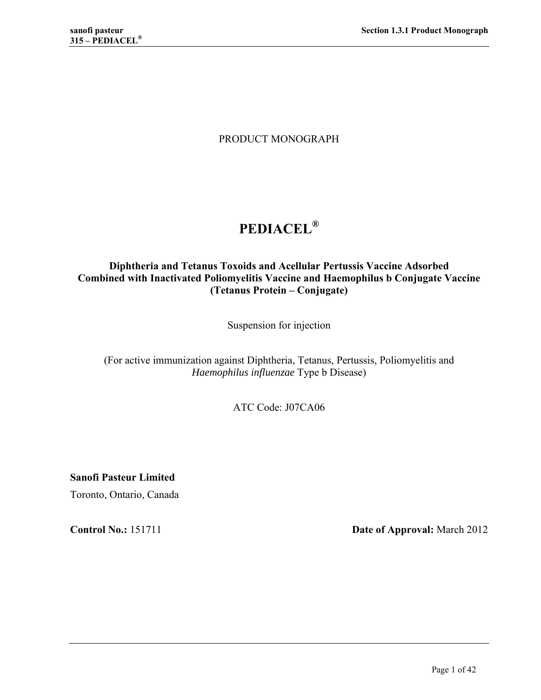# PRODUCT MONOGRAPH

# **PEDIACEL®**

## **Diphtheria and Tetanus Toxoids and Acellular Pertussis Vaccine Adsorbed Combined with Inactivated Poliomyelitis Vaccine and Haemophilus b Conjugate Vaccine (Tetanus Protein – Conjugate)**

Suspension for injection

(For active immunization against Diphtheria, Tetanus, Pertussis, Poliomyelitis and *Haemophilus influenzae* Type b Disease)

ATC Code: J07CA06

**Sanofi Pasteur Limited**  Toronto, Ontario, Canada

**Control No.:** 151711 **Date of Approval:** March 2012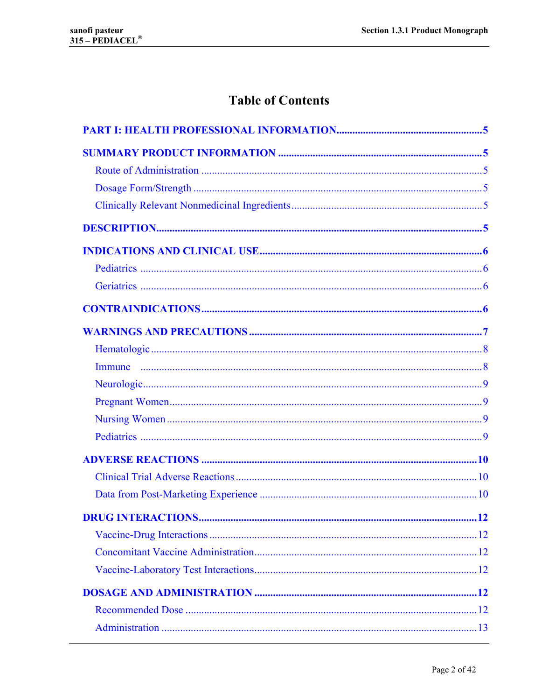# **Table of Contents**

| <b>DRUG INTERACTIONS</b> | $\overline{12}$ |
|--------------------------|-----------------|
|                          |                 |
|                          |                 |
|                          |                 |
|                          |                 |
|                          |                 |
|                          |                 |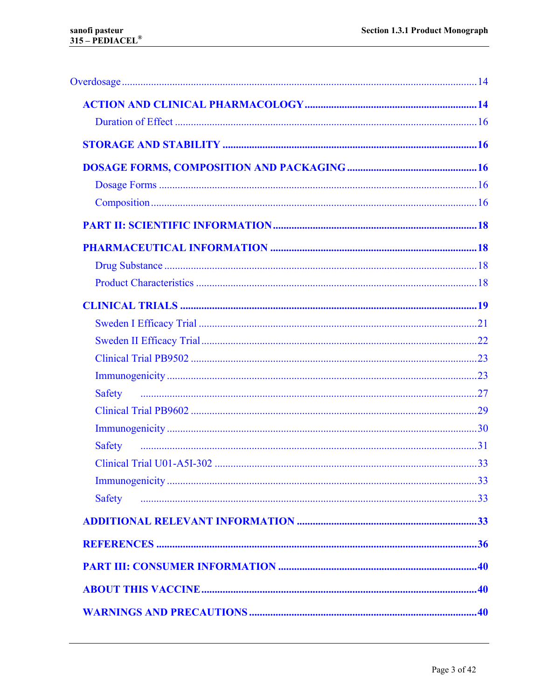| Safety        |  |
|---------------|--|
|               |  |
|               |  |
| <b>Safety</b> |  |
|               |  |
|               |  |
| <b>Safety</b> |  |
|               |  |
|               |  |
|               |  |
|               |  |
|               |  |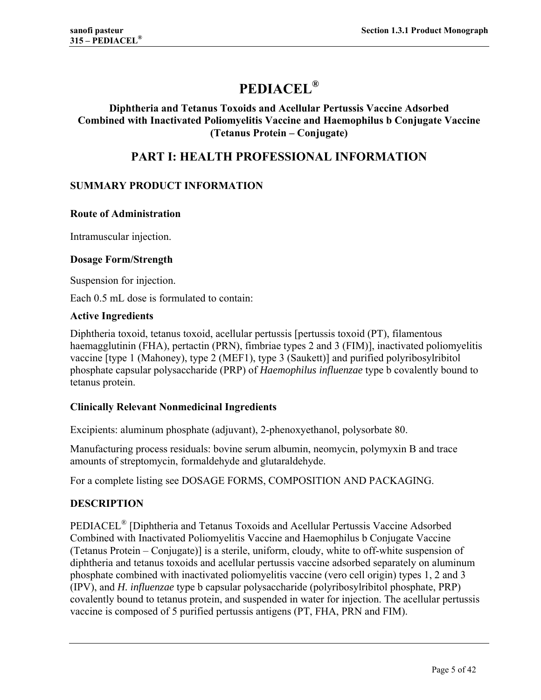# **PEDIACEL®**

## **Diphtheria and Tetanus Toxoids and Acellular Pertussis Vaccine Adsorbed Combined with Inactivated Poliomyelitis Vaccine and Haemophilus b Conjugate Vaccine (Tetanus Protein – Conjugate)**

# **PART I: HEALTH PROFESSIONAL INFORMATION**

## **SUMMARY PRODUCT INFORMATION**

#### **Route of Administration**

Intramuscular injection.

#### **Dosage Form/Strength**

Suspension for injection.

Each 0.5 mL dose is formulated to contain:

#### **Active Ingredients**

Diphtheria toxoid, tetanus toxoid, acellular pertussis [pertussis toxoid (PT), filamentous haemagglutinin (FHA), pertactin (PRN), fimbriae types 2 and 3 (FIM)], inactivated poliomyelitis vaccine [type 1 (Mahoney), type 2 (MEF1), type 3 (Saukett)] and purified polyribosylribitol phosphate capsular polysaccharide (PRP) of *Haemophilus influenzae* type b covalently bound to tetanus protein.

## **Clinically Relevant Nonmedicinal Ingredients**

Excipients: aluminum phosphate (adjuvant), 2-phenoxyethanol, polysorbate 80.

Manufacturing process residuals: bovine serum albumin, neomycin, polymyxin B and trace amounts of streptomycin, formaldehyde and glutaraldehyde.

For a complete listing see DOSAGE FORMS, COMPOSITION AND PACKAGING.

## **DESCRIPTION**

PEDIACEL® [Diphtheria and Tetanus Toxoids and Acellular Pertussis Vaccine Adsorbed Combined with Inactivated Poliomyelitis Vaccine and Haemophilus b Conjugate Vaccine (Tetanus Protein – Conjugate)] is a sterile, uniform, cloudy, white to off-white suspension of diphtheria and tetanus toxoids and acellular pertussis vaccine adsorbed separately on aluminum phosphate combined with inactivated poliomyelitis vaccine (vero cell origin) types 1, 2 and 3 (IPV), and *H. influenzae* type b capsular polysaccharide (polyribosylribitol phosphate, PRP) covalently bound to tetanus protein, and suspended in water for injection. The acellular pertussis vaccine is composed of 5 purified pertussis antigens (PT, FHA, PRN and FIM).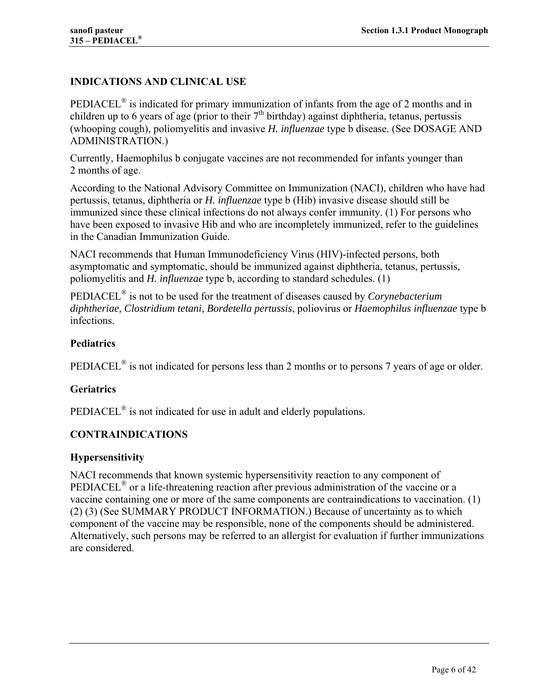## **INDICATIONS AND CLINICAL USE**

PEDIACEL<sup>®</sup> is indicated for primary immunization of infants from the age of 2 months and in children up to 6 years of age (prior to their  $7<sup>th</sup>$  birthday) against diphtheria, tetanus, pertussis (whooping cough), poliomyelitis and invasive *H. influenzae* type b disease. (See DOSAGE AND ADMINISTRATION.)

Currently, Haemophilus b conjugate vaccines are not recommended for infants younger than 2 months of age.

According to the National Advisory Committee on Immunization (NACI), children who have had pertussis, tetanus, diphtheria or *H. influenzae* type b (Hib) invasive disease should still be immunized since these clinical infections do not always confer immunity. (1) For persons who have been exposed to invasive Hib and who are incompletely immunized, refer to the guidelines in the Canadian Immunization Guide.

NACI recommends that Human Immunodeficiency Virus (HIV)-infected persons, both asymptomatic and symptomatic, should be immunized against diphtheria, tetanus, pertussis, poliomyelitis and *H. influenzae* type b, according to standard schedules. (1)

PEDIACEL® is not to be used for the treatment of diseases caused by *Corynebacterium diphtheriae, Clostridium tetani, Bordetella pertussis*, poliovirus or *Haemophilus influenzae* type b infections.

## **Pediatrics**

PEDIACEL<sup>®</sup> is not indicated for persons less than 2 months or to persons 7 years of age or older.

## **Geriatrics**

PEDIACEL® is not indicated for use in adult and elderly populations.

## **CONTRAINDICATIONS**

## **Hypersensitivity**

NACI recommends that known systemic hypersensitivity reaction to any component of PEDIACEL<sup>®</sup> or a life-threatening reaction after previous administration of the vaccine or a vaccine containing one or more of the same components are contraindications to vaccination. (1) (2) (3) (See SUMMARY PRODUCT INFORMATION.) Because of uncertainty as to which component of the vaccine may be responsible, none of the components should be administered. Alternatively, such persons may be referred to an allergist for evaluation if further immunizations are considered.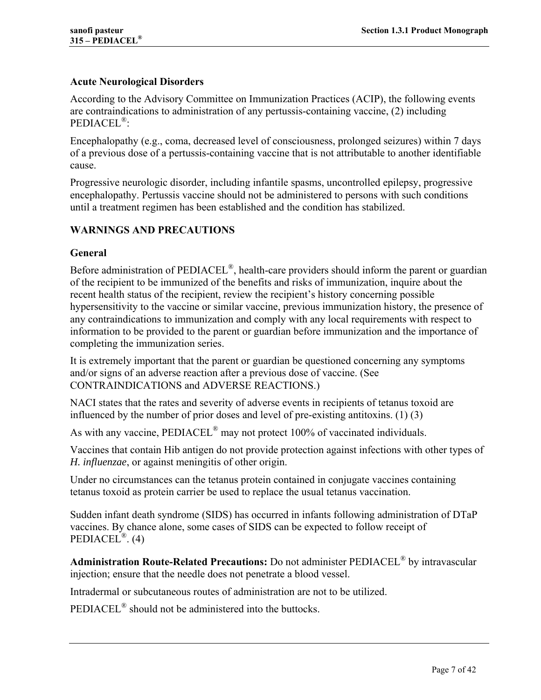## **Acute Neurological Disorders**

According to the Advisory Committee on Immunization Practices (ACIP), the following events are contraindications to administration of any pertussis-containing vaccine, (2) including PEDIACEL®:

Encephalopathy (e.g., coma, decreased level of consciousness, prolonged seizures) within 7 days of a previous dose of a pertussis-containing vaccine that is not attributable to another identifiable cause.

Progressive neurologic disorder, including infantile spasms, uncontrolled epilepsy, progressive encephalopathy. Pertussis vaccine should not be administered to persons with such conditions until a treatment regimen has been established and the condition has stabilized.

## **WARNINGS AND PRECAUTIONS**

## **General**

Before administration of PEDIACEL®, health-care providers should inform the parent or guardian of the recipient to be immunized of the benefits and risks of immunization, inquire about the recent health status of the recipient, review the recipient's history concerning possible hypersensitivity to the vaccine or similar vaccine, previous immunization history, the presence of any contraindications to immunization and comply with any local requirements with respect to information to be provided to the parent or guardian before immunization and the importance of completing the immunization series.

It is extremely important that the parent or guardian be questioned concerning any symptoms and/or signs of an adverse reaction after a previous dose of vaccine. (See CONTRAINDICATIONS and ADVERSE REACTIONS.)

NACI states that the rates and severity of adverse events in recipients of tetanus toxoid are influenced by the number of prior doses and level of pre-existing antitoxins. (1) (3)

As with any vaccine, PEDIACEL<sup>®</sup> may not protect 100% of vaccinated individuals.

Vaccines that contain Hib antigen do not provide protection against infections with other types of *H. influenzae*, or against meningitis of other origin.

Under no circumstances can the tetanus protein contained in conjugate vaccines containing tetanus toxoid as protein carrier be used to replace the usual tetanus vaccination.

Sudden infant death syndrome (SIDS) has occurred in infants following administration of DTaP vaccines. By chance alone, some cases of SIDS can be expected to follow receipt of PEDIACEL<sup>®</sup>.  $(4)$ 

**Administration Route-Related Precautions:** Do not administer PEDIACEL® by intravascular injection; ensure that the needle does not penetrate a blood vessel.

Intradermal or subcutaneous routes of administration are not to be utilized.

PEDIACEL<sup>®</sup> should not be administered into the buttocks.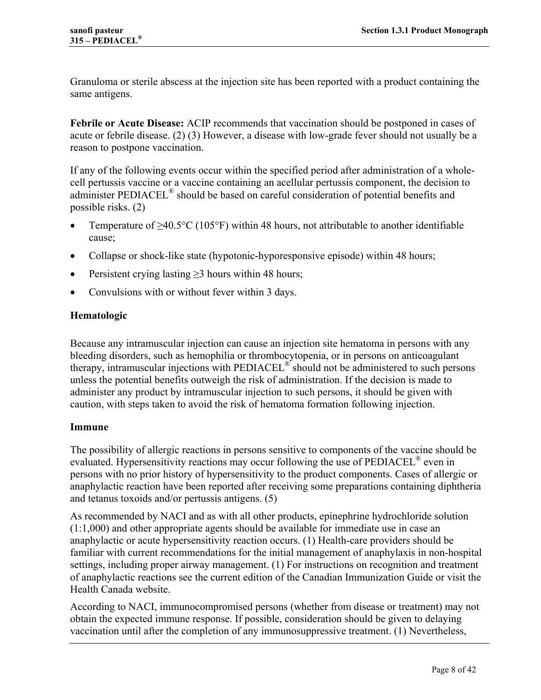Granuloma or sterile abscess at the injection site has been reported with a product containing the same antigens.

**Febrile or Acute Disease:** ACIP recommends that vaccination should be postponed in cases of acute or febrile disease. (2) (3) However, a disease with low-grade fever should not usually be a reason to postpone vaccination.

If any of the following events occur within the specified period after administration of a wholecell pertussis vaccine or a vaccine containing an acellular pertussis component, the decision to administer PEDIACEL<sup>®</sup> should be based on careful consideration of potential benefits and possible risks. (2)

- Temperature of  $>40.5^{\circ}C(105^{\circ}F)$  within 48 hours, not attributable to another identifiable cause;
- Collapse or shock-like state (hypotonic-hyporesponsive episode) within 48 hours;
- Persistent crying lasting  $\geq$ 3 hours within 48 hours;
- Convulsions with or without fever within 3 days.

## **Hematologic**

Because any intramuscular injection can cause an injection site hematoma in persons with any bleeding disorders, such as hemophilia or thrombocytopenia, or in persons on anticoagulant therapy, intramuscular injections with PEDIACEL® should not be administered to such persons unless the potential benefits outweigh the risk of administration. If the decision is made to administer any product by intramuscular injection to such persons, it should be given with caution, with steps taken to avoid the risk of hematoma formation following injection.

## **Immune**

The possibility of allergic reactions in persons sensitive to components of the vaccine should be evaluated. Hypersensitivity reactions may occur following the use of PEDIACEL® even in persons with no prior history of hypersensitivity to the product components. Cases of allergic or anaphylactic reaction have been reported after receiving some preparations containing diphtheria and tetanus toxoids and/or pertussis antigens. (5)

As recommended by NACI and as with all other products, epinephrine hydrochloride solution (1:1,000) and other appropriate agents should be available for immediate use in case an anaphylactic or acute hypersensitivity reaction occurs. (1) Health-care providers should be familiar with current recommendations for the initial management of anaphylaxis in non-hospital settings, including proper airway management. (1) For instructions on recognition and treatment of anaphylactic reactions see the current edition of the Canadian Immunization Guide or visit the Health Canada website.

According to NACI, immunocompromised persons (whether from disease or treatment) may not obtain the expected immune response. If possible, consideration should be given to delaying vaccination until after the completion of any immunosuppressive treatment. (1) Nevertheless,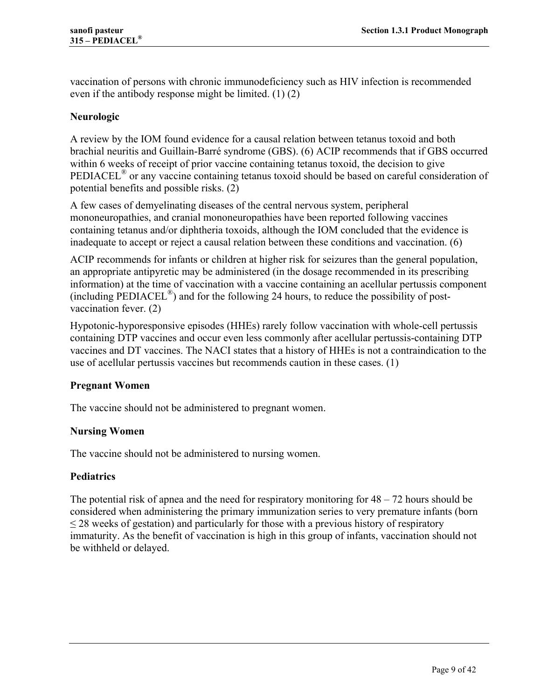vaccination of persons with chronic immunodeficiency such as HIV infection is recommended even if the antibody response might be limited. (1) (2)

## **Neurologic**

A review by the IOM found evidence for a causal relation between tetanus toxoid and both brachial neuritis and Guillain-Barré syndrome (GBS). (6) ACIP recommends that if GBS occurred within 6 weeks of receipt of prior vaccine containing tetanus toxoid, the decision to give PEDIACEL® or any vaccine containing tetanus toxoid should be based on careful consideration of potential benefits and possible risks. (2)

A few cases of demyelinating diseases of the central nervous system, peripheral mononeuropathies, and cranial mononeuropathies have been reported following vaccines containing tetanus and/or diphtheria toxoids, although the IOM concluded that the evidence is inadequate to accept or reject a causal relation between these conditions and vaccination. (6)

ACIP recommends for infants or children at higher risk for seizures than the general population, an appropriate antipyretic may be administered (in the dosage recommended in its prescribing information) at the time of vaccination with a vaccine containing an acellular pertussis component (including PEDIACEL<sup>®</sup>) and for the following 24 hours, to reduce the possibility of postvaccination fever. (2)

Hypotonic-hyporesponsive episodes (HHEs) rarely follow vaccination with whole-cell pertussis containing DTP vaccines and occur even less commonly after acellular pertussis-containing DTP vaccines and DT vaccines. The NACI states that a history of HHEs is not a contraindication to the use of acellular pertussis vaccines but recommends caution in these cases. (1)

## **Pregnant Women**

The vaccine should not be administered to pregnant women.

## **Nursing Women**

The vaccine should not be administered to nursing women.

## **Pediatrics**

The potential risk of apnea and the need for respiratory monitoring for  $48 - 72$  hours should be considered when administering the primary immunization series to very premature infants (born  $\leq$  28 weeks of gestation) and particularly for those with a previous history of respiratory immaturity. As the benefit of vaccination is high in this group of infants, vaccination should not be withheld or delayed.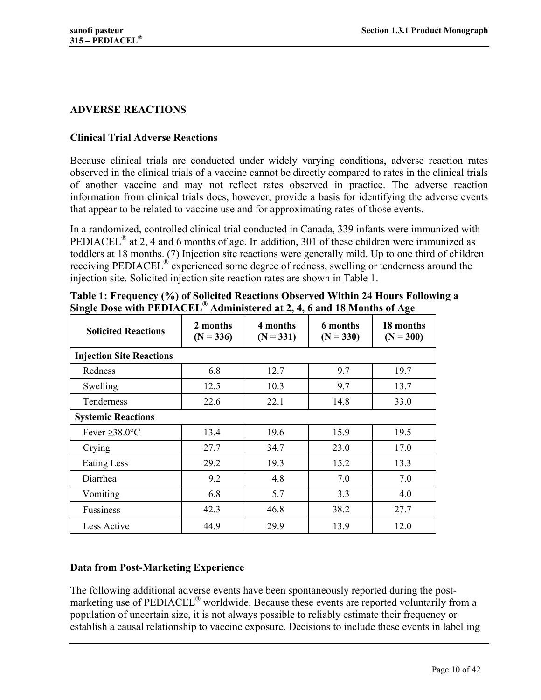## **ADVERSE REACTIONS**

## **Clinical Trial Adverse Reactions**

Because clinical trials are conducted under widely varying conditions, adverse reaction rates observed in the clinical trials of a vaccine cannot be directly compared to rates in the clinical trials of another vaccine and may not reflect rates observed in practice. The adverse reaction information from clinical trials does, however, provide a basis for identifying the adverse events that appear to be related to vaccine use and for approximating rates of those events.

In a randomized, controlled clinical trial conducted in Canada, 339 infants were immunized with PEDIACEL<sup>®</sup> at 2, 4 and 6 months of age. In addition, 301 of these children were immunized as toddlers at 18 months. (7) Injection site reactions were generally mild. Up to one third of children receiving PEDIACEL<sup>®</sup> experienced some degree of redness, swelling or tenderness around the injection site. Solicited injection site reaction rates are shown in Table 1.

| <b>Solicited Reactions</b>      | 2 months<br>$(N = 336)$ | 4 months<br>$(N = 331)$ | 6 months<br>$(N = 330)$ | 18 months<br>$(N = 300)$ |
|---------------------------------|-------------------------|-------------------------|-------------------------|--------------------------|
| <b>Injection Site Reactions</b> |                         |                         |                         |                          |
| Redness                         | 6.8                     | 12.7                    | 9.7                     | 19.7                     |
| Swelling                        | 12.5                    | 10.3                    | 9.7                     | 13.7                     |
| <b>Tenderness</b>               | 22.6                    | 22.1                    | 14.8                    | 33.0                     |
| <b>Systemic Reactions</b>       |                         |                         |                         |                          |
| Fever $\geq$ 38.0°C             | 13.4                    | 19.6                    | 15.9                    | 19.5                     |
| Crying                          | 27.7                    | 34.7                    | 23.0                    | 17.0                     |
| Eating Less                     | 29.2                    | 19.3                    | 15.2                    | 13.3                     |
| Diarrhea                        | 9.2                     | 4.8                     | 7.0                     | 7.0                      |
| Vomiting                        | 6.8                     | 5.7                     | 3.3                     | 4.0                      |
| <b>Fussiness</b>                | 42.3                    | 46.8                    | 38.2                    | 27.7                     |
| <b>Less Active</b>              | 44.9                    | 29.9                    | 13.9                    | 12.0                     |

**Table 1: Frequency (%) of Solicited Reactions Observed Within 24 Hours Following a Single Dose with PEDIACEL® Administered at 2, 4, 6 and 18 Months of Age** 

# **Data from Post-Marketing Experience**

The following additional adverse events have been spontaneously reported during the postmarketing use of PEDIACEL® worldwide. Because these events are reported voluntarily from a population of uncertain size, it is not always possible to reliably estimate their frequency or establish a causal relationship to vaccine exposure. Decisions to include these events in labelling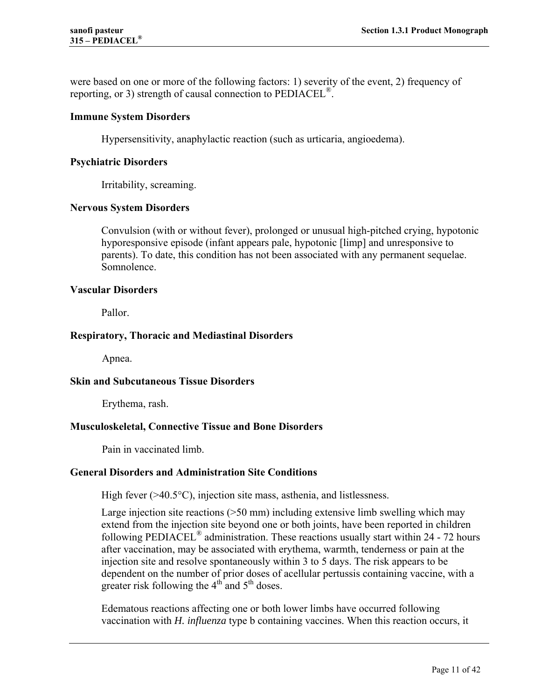were based on one or more of the following factors: 1) severity of the event, 2) frequency of reporting, or 3) strength of causal connection to  $\text{PEDIACEL}^{\circledR}$ .

#### **Immune System Disorders**

Hypersensitivity, anaphylactic reaction (such as urticaria, angioedema).

#### **Psychiatric Disorders**

Irritability, screaming.

#### **Nervous System Disorders**

Convulsion (with or without fever), prolonged or unusual high-pitched crying, hypotonic hyporesponsive episode (infant appears pale, hypotonic [limp] and unresponsive to parents). To date, this condition has not been associated with any permanent sequelae. Somnolence.

#### **Vascular Disorders**

Pallor.

## **Respiratory, Thoracic and Mediastinal Disorders**

Apnea.

#### **Skin and Subcutaneous Tissue Disorders**

Erythema, rash.

## **Musculoskeletal, Connective Tissue and Bone Disorders**

Pain in vaccinated limb.

#### **General Disorders and Administration Site Conditions**

High fever (>40.5°C), injection site mass, asthenia, and listlessness.

Large injection site reactions (>50 mm) including extensive limb swelling which may extend from the injection site beyond one or both joints, have been reported in children following PEDIACEL® administration. These reactions usually start within 24 - 72 hours after vaccination, may be associated with erythema, warmth, tenderness or pain at the injection site and resolve spontaneously within 3 to 5 days. The risk appears to be dependent on the number of prior doses of acellular pertussis containing vaccine, with a greater risk following the  $4<sup>th</sup>$  and  $5<sup>th</sup>$  doses.

Edematous reactions affecting one or both lower limbs have occurred following vaccination with *H. influenza* type b containing vaccines. When this reaction occurs, it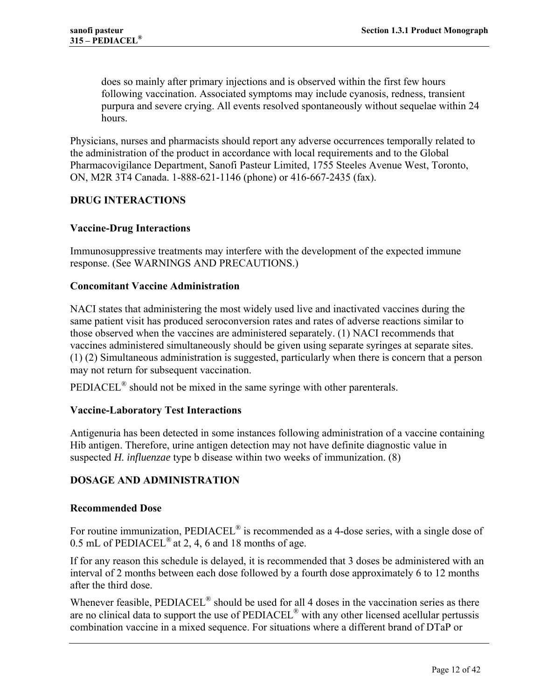does so mainly after primary injections and is observed within the first few hours following vaccination. Associated symptoms may include cyanosis, redness, transient purpura and severe crying. All events resolved spontaneously without sequelae within 24 hours.

Physicians, nurses and pharmacists should report any adverse occurrences temporally related to the administration of the product in accordance with local requirements and to the Global Pharmacovigilance Department, Sanofi Pasteur Limited, 1755 Steeles Avenue West, Toronto, ON, M2R 3T4 Canada. 1-888-621-1146 (phone) or 416-667-2435 (fax).

## **DRUG INTERACTIONS**

## **Vaccine-Drug Interactions**

Immunosuppressive treatments may interfere with the development of the expected immune response. (See WARNINGS AND PRECAUTIONS.)

#### **Concomitant Vaccine Administration**

NACI states that administering the most widely used live and inactivated vaccines during the same patient visit has produced seroconversion rates and rates of adverse reactions similar to those observed when the vaccines are administered separately. (1) NACI recommends that vaccines administered simultaneously should be given using separate syringes at separate sites. (1) (2) Simultaneous administration is suggested, particularly when there is concern that a person may not return for subsequent vaccination.

PEDIACEL<sup>®</sup> should not be mixed in the same syringe with other parenterals.

#### **Vaccine-Laboratory Test Interactions**

Antigenuria has been detected in some instances following administration of a vaccine containing Hib antigen. Therefore, urine antigen detection may not have definite diagnostic value in suspected *H. influenzae* type b disease within two weeks of immunization. (8)

## **DOSAGE AND ADMINISTRATION**

#### **Recommended Dose**

For routine immunization, PEDIACEL<sup>®</sup> is recommended as a 4-dose series, with a single dose of 0.5 mL of  $PEDIACEL^{\circledR}$  at 2, 4, 6 and 18 months of age.

If for any reason this schedule is delayed, it is recommended that 3 doses be administered with an interval of 2 months between each dose followed by a fourth dose approximately 6 to 12 months after the third dose.

Whenever feasible, PEDIACEL<sup>®</sup> should be used for all 4 doses in the vaccination series as there are no clinical data to support the use of PEDIACEL® with any other licensed acellular pertussis combination vaccine in a mixed sequence. For situations where a different brand of DTaP or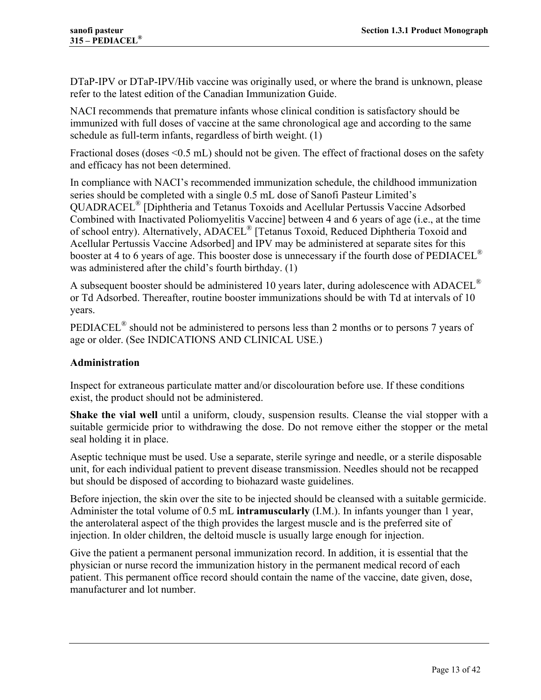DTaP-IPV or DTaP-IPV/Hib vaccine was originally used, or where the brand is unknown, please refer to the latest edition of the Canadian Immunization Guide.

NACI recommends that premature infants whose clinical condition is satisfactory should be immunized with full doses of vaccine at the same chronological age and according to the same schedule as full-term infants, regardless of birth weight. (1)

Fractional doses (doses <0.5 mL) should not be given. The effect of fractional doses on the safety and efficacy has not been determined.

In compliance with NACI's recommended immunization schedule, the childhood immunization series should be completed with a single 0.5 mL dose of Sanofi Pasteur Limited's QUADRACEL® [Diphtheria and Tetanus Toxoids and Acellular Pertussis Vaccine Adsorbed Combined with Inactivated Poliomyelitis Vaccine] between 4 and 6 years of age (i.e., at the time of school entry). Alternatively, ADACEL® [Tetanus Toxoid, Reduced Diphtheria Toxoid and Acellular Pertussis Vaccine Adsorbed] and IPV may be administered at separate sites for this booster at 4 to 6 years of age. This booster dose is unnecessary if the fourth dose of PEDIACEL<sup>®</sup> was administered after the child's fourth birthday. (1)

A subsequent booster should be administered 10 years later, during adolescence with ADACEL<sup>®</sup> or Td Adsorbed. Thereafter, routine booster immunizations should be with Td at intervals of 10 years.

PEDIACEL® should not be administered to persons less than 2 months or to persons 7 years of age or older. (See INDICATIONS AND CLINICAL USE.)

## **Administration**

Inspect for extraneous particulate matter and/or discolouration before use. If these conditions exist, the product should not be administered.

**Shake the vial well** until a uniform, cloudy, suspension results. Cleanse the vial stopper with a suitable germicide prior to withdrawing the dose. Do not remove either the stopper or the metal seal holding it in place.

Aseptic technique must be used. Use a separate, sterile syringe and needle, or a sterile disposable unit, for each individual patient to prevent disease transmission. Needles should not be recapped but should be disposed of according to biohazard waste guidelines.

Before injection, the skin over the site to be injected should be cleansed with a suitable germicide. Administer the total volume of 0.5 mL **intramuscularly** (I.M.). In infants younger than 1 year, the anterolateral aspect of the thigh provides the largest muscle and is the preferred site of injection. In older children, the deltoid muscle is usually large enough for injection.

Give the patient a permanent personal immunization record. In addition, it is essential that the physician or nurse record the immunization history in the permanent medical record of each patient. This permanent office record should contain the name of the vaccine, date given, dose, manufacturer and lot number.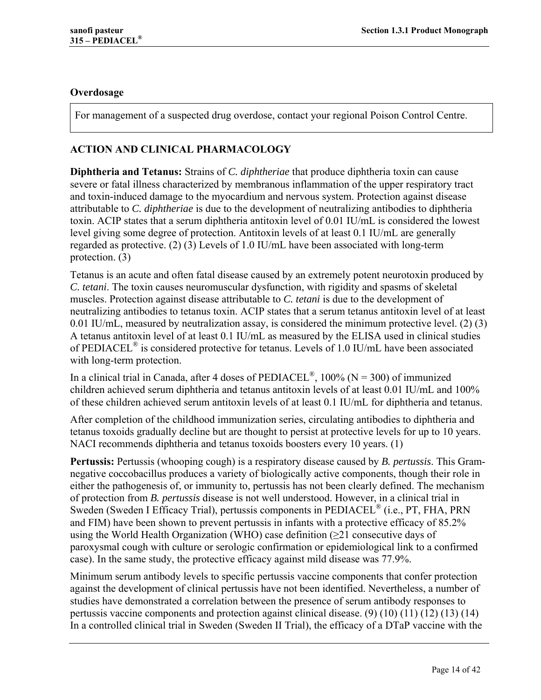## **Overdosage**

For management of a suspected drug overdose, contact your regional Poison Control Centre.

## **ACTION AND CLINICAL PHARMACOLOGY**

**Diphtheria and Tetanus:** Strains of *C. diphtheriae* that produce diphtheria toxin can cause severe or fatal illness characterized by membranous inflammation of the upper respiratory tract and toxin-induced damage to the myocardium and nervous system. Protection against disease attributable to *C. diphtheriae* is due to the development of neutralizing antibodies to diphtheria toxin. ACIP states that a serum diphtheria antitoxin level of 0.01 IU/mL is considered the lowest level giving some degree of protection. Antitoxin levels of at least 0.1 IU/mL are generally regarded as protective. (2) (3) Levels of 1.0 IU/mL have been associated with long-term protection. (3)

Tetanus is an acute and often fatal disease caused by an extremely potent neurotoxin produced by *C. tetani*. The toxin causes neuromuscular dysfunction, with rigidity and spasms of skeletal muscles. Protection against disease attributable to *C. tetani* is due to the development of neutralizing antibodies to tetanus toxin. ACIP states that a serum tetanus antitoxin level of at least 0.01 IU/mL, measured by neutralization assay, is considered the minimum protective level. (2) (3) A tetanus antitoxin level of at least 0.1 IU/mL as measured by the ELISA used in clinical studies of PEDIACEL® is considered protective for tetanus. Levels of 1.0 IU/mL have been associated with long-term protection.

In a clinical trial in Canada, after 4 doses of PEDIACEL<sup>®</sup>, 100% (N = 300) of immunized children achieved serum diphtheria and tetanus antitoxin levels of at least 0.01 IU/mL and 100% of these children achieved serum antitoxin levels of at least 0.1 IU/mL for diphtheria and tetanus.

After completion of the childhood immunization series, circulating antibodies to diphtheria and tetanus toxoids gradually decline but are thought to persist at protective levels for up to 10 years. NACI recommends diphtheria and tetanus toxoids boosters every 10 years. (1)

**Pertussis:** Pertussis (whooping cough) is a respiratory disease caused by *B. pertussis*. This Gramnegative coccobacillus produces a variety of biologically active components, though their role in either the pathogenesis of, or immunity to, pertussis has not been clearly defined. The mechanism of protection from *B. pertussis* disease is not well understood. However, in a clinical trial in Sweden (Sweden I Efficacy Trial), pertussis components in PEDIACEL® (i.e., PT, FHA, PRN and FIM) have been shown to prevent pertussis in infants with a protective efficacy of 85.2% using the World Health Organization (WHO) case definition  $(\geq 21)$  consecutive days of paroxysmal cough with culture or serologic confirmation or epidemiological link to a confirmed case). In the same study, the protective efficacy against mild disease was 77.9%.

Minimum serum antibody levels to specific pertussis vaccine components that confer protection against the development of clinical pertussis have not been identified. Nevertheless, a number of studies have demonstrated a correlation between the presence of serum antibody responses to pertussis vaccine components and protection against clinical disease. (9) (10) (11) (12) (13) (14) In a controlled clinical trial in Sweden (Sweden II Trial), the efficacy of a DTaP vaccine with the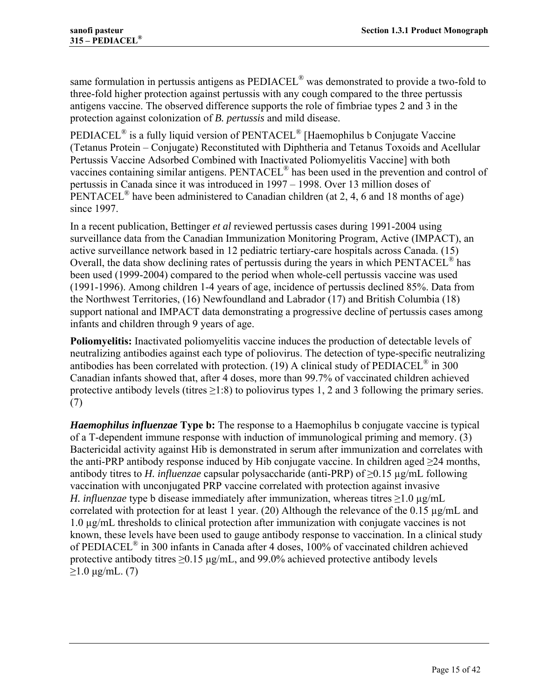same formulation in pertussis antigens as  $\rm{PEDIACEL}^{\circledR}$  was demonstrated to provide a two-fold to three-fold higher protection against pertussis with any cough compared to the three pertussis antigens vaccine. The observed difference supports the role of fimbriae types 2 and 3 in the protection against colonization of *B. pertussis* and mild disease.

PEDIACEL® is a fully liquid version of PENTACEL® [Haemophilus b Conjugate Vaccine (Tetanus Protein – Conjugate) Reconstituted with Diphtheria and Tetanus Toxoids and Acellular Pertussis Vaccine Adsorbed Combined with Inactivated Poliomyelitis Vaccine] with both vaccines containing similar antigens. PENTACEL® has been used in the prevention and control of pertussis in Canada since it was introduced in 1997 – 1998. Over 13 million doses of PENTACEL<sup>®</sup> have been administered to Canadian children (at 2, 4, 6 and 18 months of age) since 1997.

In a recent publication, Bettinger *et al* reviewed pertussis cases during 1991-2004 using surveillance data from the Canadian Immunization Monitoring Program, Active (IMPACT), an active surveillance network based in 12 pediatric tertiary-care hospitals across Canada. (15) Overall, the data show declining rates of pertussis during the years in which PENTACEL® has been used (1999-2004) compared to the period when whole-cell pertussis vaccine was used (1991-1996). Among children 1-4 years of age, incidence of pertussis declined 85%. Data from the Northwest Territories, (16) Newfoundland and Labrador (17) and British Columbia (18) support national and IMPACT data demonstrating a progressive decline of pertussis cases among infants and children through 9 years of age.

**Poliomyelitis:** Inactivated poliomyelitis vaccine induces the production of detectable levels of neutralizing antibodies against each type of poliovirus. The detection of type-specific neutralizing antibodies has been correlated with protection. (19) A clinical study of  $PEDIACEL<sup>®</sup>$  in 300 Canadian infants showed that, after 4 doses, more than 99.7% of vaccinated children achieved protective antibody levels (titres  $\geq 1:8$ ) to poliovirus types 1, 2 and 3 following the primary series. (7)

*Haemophilus influenzae* **Type b:** The response to a Haemophilus b conjugate vaccine is typical of a T-dependent immune response with induction of immunological priming and memory. (3) Bactericidal activity against Hib is demonstrated in serum after immunization and correlates with the anti-PRP antibody response induced by Hib conjugate vaccine. In children aged  $\geq$ 24 months, antibody titres to *H. influenzae* capsular polysaccharide (anti-PRP) of ≥0.15 µg/mL following vaccination with unconjugated PRP vaccine correlated with protection against invasive *H. influenzae* type b disease immediately after immunization, whereas titres  $\geq$ 1.0 µg/mL correlated with protection for at least 1 year. (20) Although the relevance of the  $0.15 \mu g/mL$  and 1.0 µg/mL thresholds to clinical protection after immunization with conjugate vaccines is not known, these levels have been used to gauge antibody response to vaccination. In a clinical study of PEDIACEL<sup>®</sup> in 300 infants in Canada after 4 doses, 100% of vaccinated children achieved protective antibody titres  $\geq 0.15$  µg/mL, and 99.0% achieved protective antibody levels  $≥1.0 \mu g/mL.$  (7)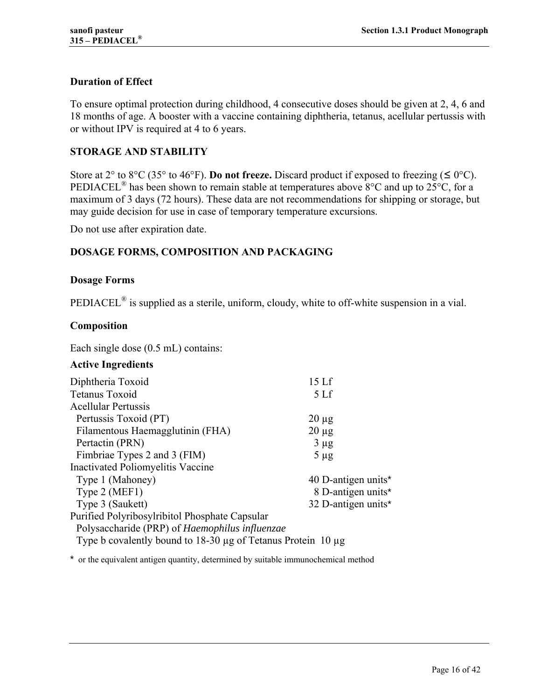## **Duration of Effect**

To ensure optimal protection during childhood, 4 consecutive doses should be given at 2, 4, 6 and 18 months of age. A booster with a vaccine containing diphtheria, tetanus, acellular pertussis with or without IPV is required at 4 to 6 years.

## **STORAGE AND STABILITY**

Store at 2° to 8°C (35° to 46°F). **Do not freeze.** Discard product if exposed to freezing ( $\leq 0$ °C). PEDIACEL<sup>®</sup> has been shown to remain stable at temperatures above  $8^{\circ}$ C and up to  $25^{\circ}$ C, for a maximum of 3 days (72 hours). These data are not recommendations for shipping or storage, but may guide decision for use in case of temporary temperature excursions.

Do not use after expiration date.

## **DOSAGE FORMS, COMPOSITION AND PACKAGING**

#### **Dosage Forms**

PEDIACEL<sup>®</sup> is supplied as a sterile, uniform, cloudy, white to off-white suspension in a vial.

#### **Composition**

Each single dose (0.5 mL) contains:

#### **Active Ingredients**

| Diphtheria Toxoid                                                      | 15 <sub>Lf</sub>    |
|------------------------------------------------------------------------|---------------------|
| Tetanus Toxoid                                                         | 5 <sub>Lf</sub>     |
| <b>Acellular Pertussis</b>                                             |                     |
| Pertussis Toxoid (PT)                                                  | $20 \mu$ g          |
| Filamentous Haemagglutinin (FHA)                                       | $20 \mu g$          |
| Pertactin (PRN)                                                        | $3 \mu g$           |
| Fimbriae Types 2 and 3 (FIM)                                           | $5 \mu g$           |
| Inactivated Poliomyelitis Vaccine                                      |                     |
| Type 1 (Mahoney)                                                       | 40 D-antigen units* |
| Type 2 (MEF1)                                                          | 8 D-antigen units*  |
| Type 3 (Saukett)                                                       | 32 D-antigen units* |
| Purified Polyribosylribitol Phosphate Capsular                         |                     |
| Polysaccharide (PRP) of Haemophilus influenzae                         |                     |
| Type b covalently bound to $18-30 \mu g$ of Tetanus Protein 10 $\mu g$ |                     |
|                                                                        |                     |

\* or the equivalent antigen quantity, determined by suitable immunochemical method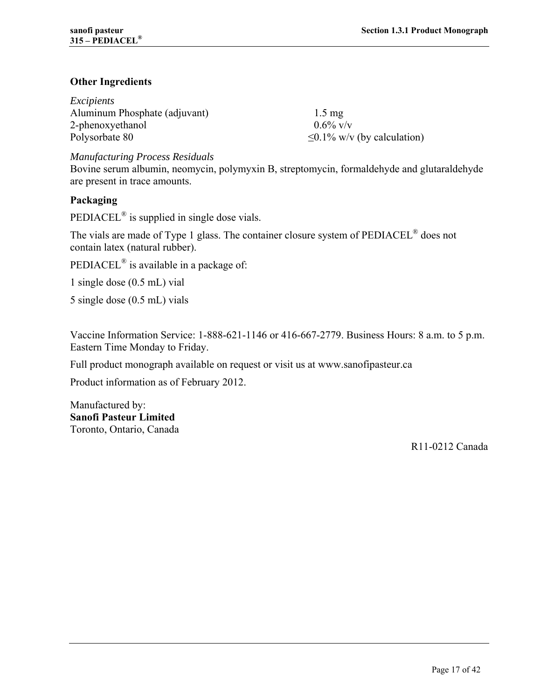## **Other Ingredients**

| Excipients                    |                                   |
|-------------------------------|-----------------------------------|
| Aluminum Phosphate (adjuvant) | $1.5 \text{ mg}$                  |
| 2-phenoxyethanol              | $0.6\%$ V/V                       |
| Polysorbate 80                | $\leq 0.1\%$ w/v (by calculation) |

*Manufacturing Process Residuals* 

Bovine serum albumin, neomycin, polymyxin B, streptomycin, formaldehyde and glutaraldehyde are present in trace amounts.

## **Packaging**

PEDIACEL® is supplied in single dose vials.

The vials are made of Type 1 glass. The container closure system of PEDIACEL® does not contain latex (natural rubber).

PEDIACEL<sup>®</sup> is available in a package of:

1 single dose (0.5 mL) vial

5 single dose (0.5 mL) vials

Vaccine Information Service: 1-888-621-1146 or 416-667-2779. Business Hours: 8 a.m. to 5 p.m. Eastern Time Monday to Friday.

Full product monograph available on request or visit us at www.sanofipasteur.ca

Product information as of February 2012.

Manufactured by: **Sanofi Pasteur Limited**  Toronto, Ontario, Canada

R11-0212 Canada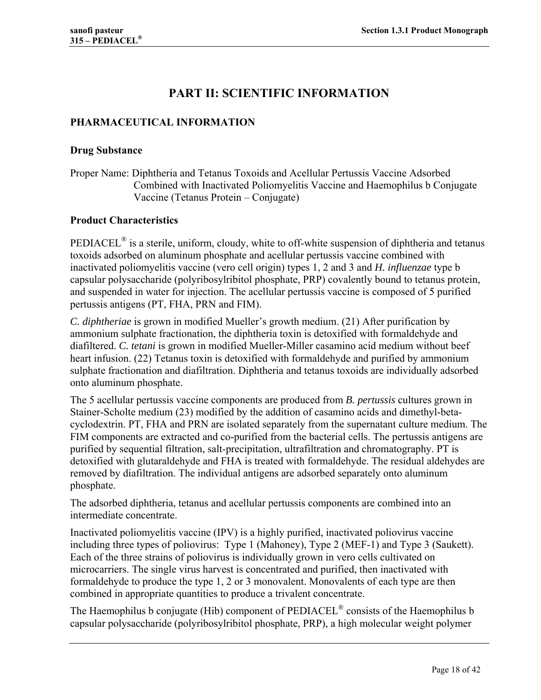# **PART II: SCIENTIFIC INFORMATION**

## **PHARMACEUTICAL INFORMATION**

#### **Drug Substance**

Proper Name: Diphtheria and Tetanus Toxoids and Acellular Pertussis Vaccine Adsorbed Combined with Inactivated Poliomyelitis Vaccine and Haemophilus b Conjugate Vaccine (Tetanus Protein – Conjugate)

## **Product Characteristics**

PEDIACEL<sup>®</sup> is a sterile, uniform, cloudy, white to off-white suspension of diphtheria and tetanus toxoids adsorbed on aluminum phosphate and acellular pertussis vaccine combined with inactivated poliomyelitis vaccine (vero cell origin) types 1, 2 and 3 and *H. influenzae* type b capsular polysaccharide (polyribosylribitol phosphate, PRP) covalently bound to tetanus protein, and suspended in water for injection. The acellular pertussis vaccine is composed of 5 purified pertussis antigens (PT, FHA, PRN and FIM).

*C. diphtheriae* is grown in modified Mueller's growth medium. (21) After purification by ammonium sulphate fractionation, the diphtheria toxin is detoxified with formaldehyde and diafiltered. *C. tetani* is grown in modified Mueller-Miller casamino acid medium without beef heart infusion. (22) Tetanus toxin is detoxified with formaldehyde and purified by ammonium sulphate fractionation and diafiltration. Diphtheria and tetanus toxoids are individually adsorbed onto aluminum phosphate.

The 5 acellular pertussis vaccine components are produced from *B. pertussis* cultures grown in Stainer-Scholte medium (23) modified by the addition of casamino acids and dimethyl-betacyclodextrin. PT, FHA and PRN are isolated separately from the supernatant culture medium. The FIM components are extracted and co-purified from the bacterial cells. The pertussis antigens are purified by sequential filtration, salt-precipitation, ultrafiltration and chromatography. PT is detoxified with glutaraldehyde and FHA is treated with formaldehyde. The residual aldehydes are removed by diafiltration. The individual antigens are adsorbed separately onto aluminum phosphate.

The adsorbed diphtheria, tetanus and acellular pertussis components are combined into an intermediate concentrate.

Inactivated poliomyelitis vaccine (IPV) is a highly purified, inactivated poliovirus vaccine including three types of poliovirus: Type 1 (Mahoney), Type 2 (MEF-1) and Type 3 (Saukett). Each of the three strains of poliovirus is individually grown in vero cells cultivated on microcarriers. The single virus harvest is concentrated and purified, then inactivated with formaldehyde to produce the type 1, 2 or 3 monovalent. Monovalents of each type are then combined in appropriate quantities to produce a trivalent concentrate.

The Haemophilus b conjugate (Hib) component of PEDIACEL® consists of the Haemophilus b capsular polysaccharide (polyribosylribitol phosphate, PRP), a high molecular weight polymer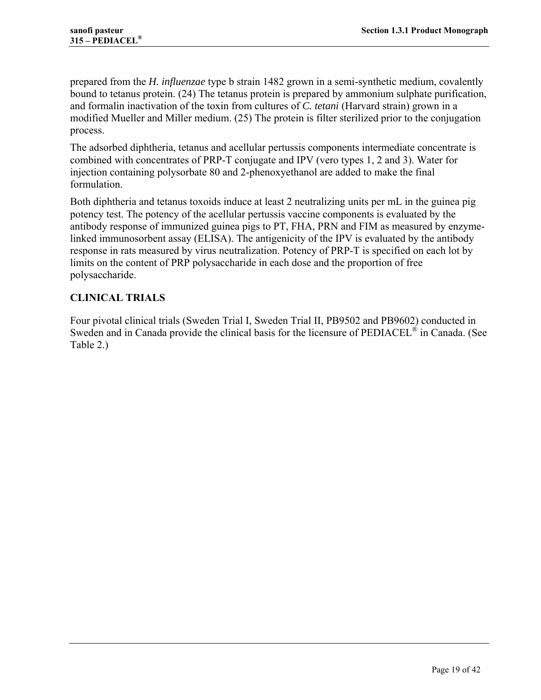prepared from the *H. influenzae* type b strain 1482 grown in a semi-synthetic medium, covalently bound to tetanus protein. (24) The tetanus protein is prepared by ammonium sulphate purification, and formalin inactivation of the toxin from cultures of *C. tetani* (Harvard strain) grown in a modified Mueller and Miller medium. (25) The protein is filter sterilized prior to the conjugation process.

The adsorbed diphtheria, tetanus and acellular pertussis components intermediate concentrate is combined with concentrates of PRP-T conjugate and IPV (vero types 1, 2 and 3). Water for injection containing polysorbate 80 and 2-phenoxyethanol are added to make the final formulation.

Both diphtheria and tetanus toxoids induce at least 2 neutralizing units per mL in the guinea pig potency test. The potency of the acellular pertussis vaccine components is evaluated by the antibody response of immunized guinea pigs to PT, FHA, PRN and FIM as measured by enzymelinked immunosorbent assay (ELISA). The antigenicity of the IPV is evaluated by the antibody response in rats measured by virus neutralization. Potency of PRP-T is specified on each lot by limits on the content of PRP polysaccharide in each dose and the proportion of free polysaccharide.

## **CLINICAL TRIALS**

Four pivotal clinical trials (Sweden Trial I, Sweden Trial II, PB9502 and PB9602) conducted in Sweden and in Canada provide the clinical basis for the licensure of  $\rm{PEDIACEL}^{\circledast}$  in Canada. (See Table 2.)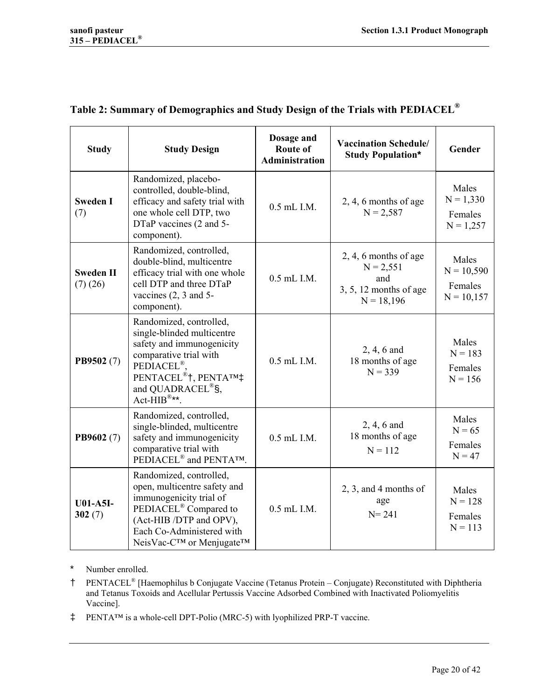| <b>Study</b>                | <b>Study Design</b>                                                                                                                                                                                                                                               | Dosage and<br>Route of<br><b>Administration</b> | <b>Vaccination Schedule/</b><br><b>Study Population*</b>                                  | Gender                                           |
|-----------------------------|-------------------------------------------------------------------------------------------------------------------------------------------------------------------------------------------------------------------------------------------------------------------|-------------------------------------------------|-------------------------------------------------------------------------------------------|--------------------------------------------------|
| <b>Sweden I</b><br>(7)      | Randomized, placebo-<br>controlled, double-blind,<br>efficacy and safety trial with<br>one whole cell DTP, two<br>DTaP vaccines (2 and 5-<br>component).                                                                                                          | 0.5 mL I.M.                                     | $2, 4, 6$ months of age<br>$N = 2,587$                                                    | Males<br>$N = 1,330$<br>Females<br>$N = 1,257$   |
| <b>Sweden II</b><br>(7)(26) | Randomized, controlled,<br>double-blind, multicentre<br>efficacy trial with one whole<br>cell DTP and three DTaP<br>vaccines $(2, 3 \text{ and } 5 -$<br>component).                                                                                              | 0.5 mL I.M.                                     | $2, 4, 6$ months of age<br>$N = 2,551$<br>and<br>$3, 5, 12$ months of age<br>$N = 18,196$ | Males<br>$N = 10,590$<br>Females<br>$N = 10,157$ |
| PB9502 (7)                  | Randomized, controlled,<br>single-blinded multicentre<br>safety and immunogenicity<br>comparative trial with<br>PEDIACEL <sup>®</sup> .<br>PENTACEL <sup>®</sup> †, PENTA <sup>TM</sup> ‡<br>and QUADRACEL <sup>®</sup> §,<br>$Act-HIB^{\circledR \star \star}$ . | 0.5 mL I.M.                                     | 2, 4, 6 and<br>18 months of age<br>$N = 339$                                              | Males<br>$N = 183$<br>Females<br>$N = 156$       |
| PB9602 (7)                  | Randomized, controlled,<br>single-blinded, multicentre<br>safety and immunogenicity<br>comparative trial with<br>PEDIACEL <sup>®</sup> and PENTA <sup>TM</sup> .                                                                                                  | 0.5 mL I.M.                                     | 2, 4, 6 and<br>18 months of age<br>$N = 112$                                              | Males<br>$N = 65$<br>Females<br>$N = 47$         |
| <b>U01-A5I-</b><br>302(7)   | Randomized, controlled,<br>open, multicentre safety and<br>immunogenicity trial of<br>PEDIACEL <sup>®</sup> Compared to<br>(Act-HIB /DTP and OPV),<br>Each Co-Administered with<br>NeisVac-C™ or Menjugate™                                                       | 0.5 mL I.M.                                     | $2, 3,$ and 4 months of<br>age<br>$N = 241$                                               | Males<br>$N = 128$<br>Females<br>$N = 113$       |

# **Table 2: Summary of Demographics and Study Design of the Trials with PEDIACEL®**

\* Number enrolled.

- † PENTACEL® [Haemophilus b Conjugate Vaccine (Tetanus Protein Conjugate) Reconstituted with Diphtheria and Tetanus Toxoids and Acellular Pertussis Vaccine Adsorbed Combined with Inactivated Poliomyelitis Vaccine].
- ‡ PENTA™ is a whole-cell DPT-Polio (MRC-5) with lyophilized PRP-T vaccine.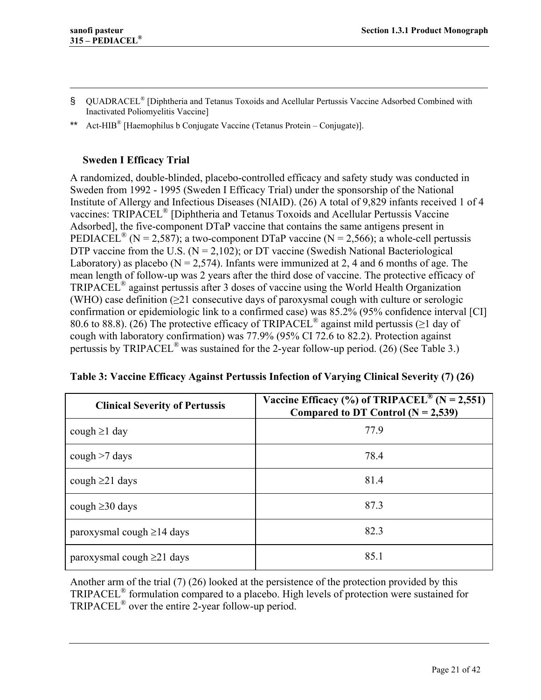$\overline{a}$ 

- § QUADRACEL<sup>®</sup> [Diphtheria and Tetanus Toxoids and Acellular Pertussis Vaccine Adsorbed Combined with Inactivated Poliomyelitis Vaccine]
- Act-HIB<sup>®</sup> [Haemophilus b Conjugate Vaccine (Tetanus Protein Conjugate)].

## **Sweden I Efficacy Trial**

A randomized, double-blinded, placebo-controlled efficacy and safety study was conducted in Sweden from 1992 - 1995 (Sweden I Efficacy Trial) under the sponsorship of the National Institute of Allergy and Infectious Diseases (NIAID). (26) A total of 9,829 infants received 1 of 4 vaccines: TRIPACEL® [Diphtheria and Tetanus Toxoids and Acellular Pertussis Vaccine Adsorbed], the five-component DTaP vaccine that contains the same antigens present in PEDIACEL<sup>®</sup> (N = 2,587); a two-component DTaP vaccine (N = 2,566); a whole-cell pertussis DTP vaccine from the U.S.  $(N = 2,102)$ ; or DT vaccine (Swedish National Bacteriological Laboratory) as placebo ( $N = 2,574$ ). Infants were immunized at 2, 4 and 6 months of age. The mean length of follow-up was 2 years after the third dose of vaccine. The protective efficacy of TRIPACEL® against pertussis after 3 doses of vaccine using the World Health Organization (WHO) case definition  $(\geq 21)$  consecutive days of paroxysmal cough with culture or serologic confirmation or epidemiologic link to a confirmed case) was 85.2% (95% confidence interval [CI] 80.6 to 88.8). (26) The protective efficacy of TRIPACEL<sup>®</sup> against mild pertussis ( $\geq$ 1 day of cough with laboratory confirmation) was 77.9% (95% CI 72.6 to 82.2). Protection against pertussis by TRIPACEL<sup>®</sup> was sustained for the 2-year follow-up period. (26) (See Table 3.)

| <b>Clinical Severity of Pertussis</b> | Vaccine Efficacy (%) of TRIPACEL <sup>®</sup> (N = 2,551)<br>Compared to DT Control $(N = 2,539)$ |
|---------------------------------------|---------------------------------------------------------------------------------------------------|
| cough $\geq 1$ day                    | 77.9                                                                                              |
| cough $>7$ days                       | 78.4                                                                                              |
| cough $\geq$ 21 days                  | 81.4                                                                                              |
| cough $\geq$ 30 days                  | 87.3                                                                                              |
| paroxysmal cough $\geq$ 14 days       | 82.3                                                                                              |
| paroxysmal cough $\geq$ 21 days       | 85.1                                                                                              |

| Table 3: Vaccine Efficacy Against Pertussis Infection of Varying Clinical Severity (7) (26) |  |
|---------------------------------------------------------------------------------------------|--|
|---------------------------------------------------------------------------------------------|--|

Another arm of the trial (7) (26) looked at the persistence of the protection provided by this TRIPACEL® formulation compared to a placebo. High levels of protection were sustained for TRIPACEL<sup>®</sup> over the entire 2-year follow-up period.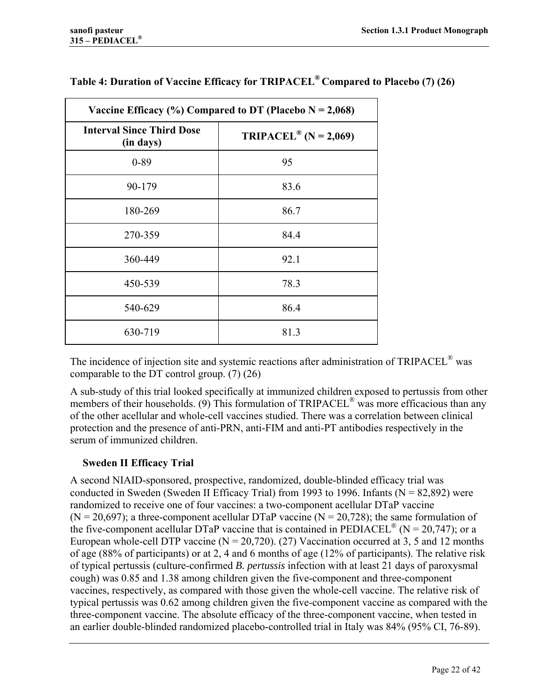| Vaccine Efficacy (%) Compared to DT (Placebo $N = 2,068$ )                                |      |  |
|-------------------------------------------------------------------------------------------|------|--|
| <b>Interval Since Third Dose</b><br><b>TRIPACEL</b> <sup>®</sup> (N = 2,069)<br>(in days) |      |  |
| $0 - 89$                                                                                  | 95   |  |
| 90-179                                                                                    | 83.6 |  |
| 180-269                                                                                   | 86.7 |  |
| 270-359                                                                                   | 84.4 |  |
| 360-449                                                                                   | 92.1 |  |
| 450-539                                                                                   | 78.3 |  |
| 540-629                                                                                   | 86.4 |  |
| 630-719                                                                                   | 81.3 |  |

## **Table 4: Duration of Vaccine Efficacy for TRIPACEL® Compared to Placebo (7) (26)**

The incidence of injection site and systemic reactions after administration of TRIPACEL® was comparable to the DT control group. (7) (26)

A sub-study of this trial looked specifically at immunized children exposed to pertussis from other members of their households. (9) This formulation of  $TRIPACEL^{\omega}$  was more efficacious than any of the other acellular and whole-cell vaccines studied. There was a correlation between clinical protection and the presence of anti-PRN, anti-FIM and anti-PT antibodies respectively in the serum of immunized children.

## **Sweden II Efficacy Trial**

A second NIAID-sponsored, prospective, randomized, double-blinded efficacy trial was conducted in Sweden (Sweden II Efficacy Trial) from 1993 to 1996. Infants ( $N = 82,892$ ) were randomized to receive one of four vaccines: a two-component acellular DTaP vaccine (N = 20,697); a three-component acellular DTaP vaccine (N = 20,728); the same formulation of the five-component acellular DTaP vaccine that is contained in  $\text{PEDIACEL}^{\circledR}$  (N = 20,747); or a European whole-cell DTP vaccine ( $N = 20,720$ ). (27) Vaccination occurred at 3, 5 and 12 months of age (88% of participants) or at 2, 4 and 6 months of age (12% of participants). The relative risk of typical pertussis (culture-confirmed *B. pertussis* infection with at least 21 days of paroxysmal cough) was 0.85 and 1.38 among children given the five-component and three-component vaccines, respectively, as compared with those given the whole-cell vaccine. The relative risk of typical pertussis was 0.62 among children given the five-component vaccine as compared with the three-component vaccine. The absolute efficacy of the three-component vaccine, when tested in an earlier double-blinded randomized placebo-controlled trial in Italy was 84% (95% CI, 76-89).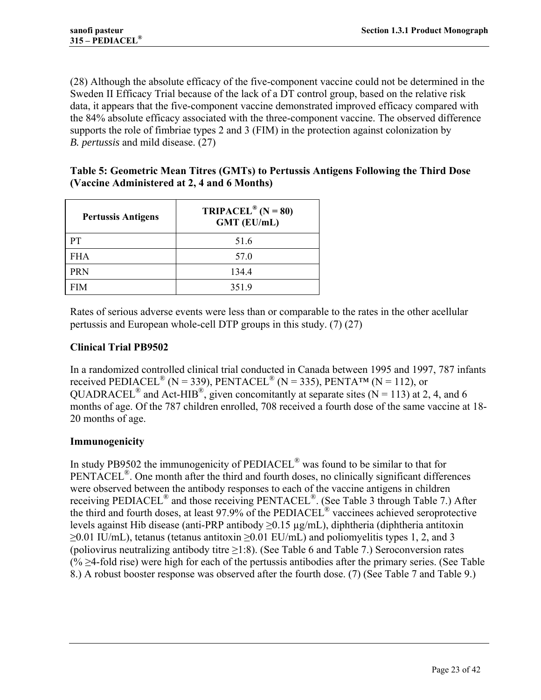(28) Although the absolute efficacy of the five-component vaccine could not be determined in the Sweden II Efficacy Trial because of the lack of a DT control group, based on the relative risk data, it appears that the five-component vaccine demonstrated improved efficacy compared with the 84% absolute efficacy associated with the three-component vaccine. The observed difference supports the role of fimbriae types 2 and 3 (FIM) in the protection against colonization by *B. pertussis* and mild disease. (27)

## **Table 5: Geometric Mean Titres (GMTs) to Pertussis Antigens Following the Third Dose (Vaccine Administered at 2, 4 and 6 Months)**

| <b>Pertussis Antigens</b> | TRIPACEL <sup>®</sup> (N = 80)<br><b>GMT (EU/mL)</b> |  |
|---------------------------|------------------------------------------------------|--|
| PТ                        | 51.6                                                 |  |
| <b>FHA</b>                | 57.0                                                 |  |
| <b>PRN</b>                | 134.4                                                |  |
| FIM                       | 351.9                                                |  |

Rates of serious adverse events were less than or comparable to the rates in the other acellular pertussis and European whole-cell DTP groups in this study. (7) (27)

## **Clinical Trial PB9502**

In a randomized controlled clinical trial conducted in Canada between 1995 and 1997, 787 infants received PEDIACEL<sup>®</sup> (N = 339), PENTACEL<sup>®</sup> (N = 335), PENTA<sup>TM</sup> (N = 112), or QUADRACEL<sup>®</sup> and Act-HIB<sup>®</sup>, given concomitantly at separate sites  $(N = 113)$  at 2, 4, and 6 months of age. Of the 787 children enrolled, 708 received a fourth dose of the same vaccine at 18- 20 months of age.

## **Immunogenicity**

In study PB9502 the immunogenicity of PEDIACEL® was found to be similar to that for PENTACEL<sup>®</sup>. One month after the third and fourth doses, no clinically significant differences were observed between the antibody responses to each of the vaccine antigens in children receiving PEDIACEL® and those receiving PENTACEL®. (See Table 3 through Table 7.) After the third and fourth doses, at least 97.9% of the PEDIACEL® vaccinees achieved seroprotective levels against Hib disease (anti-PRP antibody  $\geq$ 0.15 µg/mL), diphtheria (diphtheria antitoxin  $\geq$ 0.01 IU/mL), tetanus (tetanus antitoxin  $\geq$ 0.01 EU/mL) and poliomyelitis types 1, 2, and 3 (poliovirus neutralizing antibody titre  $\geq$ 1:8). (See Table 6 and Table 7.) Seroconversion rates  $(\% \geq 4$ -fold rise) were high for each of the pertussis antibodies after the primary series. (See Table 8.) A robust booster response was observed after the fourth dose. (7) (See Table 7 and Table 9.)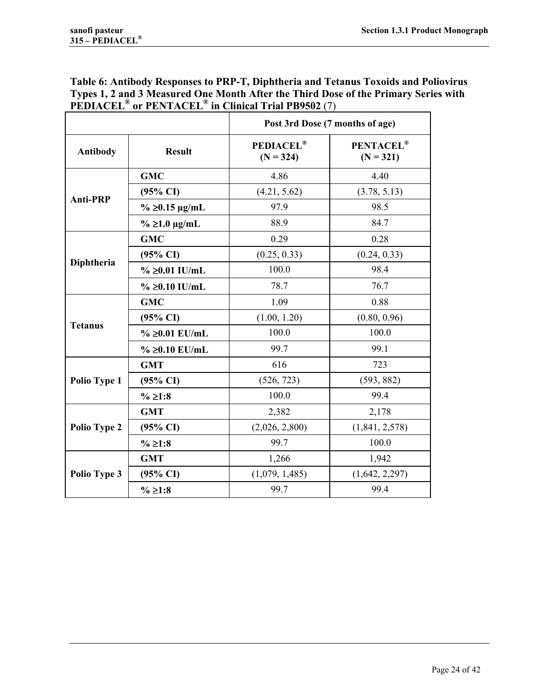## **Table 6: Antibody Responses to PRP-T, Diphtheria and Tetanus Toxoids and Poliovirus Types 1, 2 and 3 Measured One Month After the Third Dose of the Primary Series with PEDIACEL® or PENTACEL® in Clinical Trial PB9502** (7)

|                   |                       | Post 3rd Dose (7 months of age) |                                 |
|-------------------|-----------------------|---------------------------------|---------------------------------|
| <b>Antibody</b>   | <b>Result</b>         | <b>PEDIACEL®</b><br>$(N = 324)$ | <b>PENTACEL®</b><br>$(N = 321)$ |
|                   | <b>GMC</b>            | 4.86                            | 4.40                            |
|                   | $(95\% \text{ CI})$   | (4.21, 5.62)                    | (3.78, 5.13)                    |
| <b>Anti-PRP</b>   | $\%$ ≥0.15 µg/mL      | 97.9                            | 98.5                            |
|                   | $\%$ $\geq$ 1.0 µg/mL | 88.9                            | 84.7                            |
|                   | <b>GMC</b>            | 0.29                            | 0.28                            |
|                   | $(95\% \text{ CI})$   | (0.25, 0.33)                    | (0.24, 0.33)                    |
| <b>Diphtheria</b> | % ≥0.01 IU/mL         | 100.0                           | 98.4                            |
|                   | % ≥0.10 IU/mL         | 78.7                            | 76.7                            |
|                   | <b>GMC</b>            | 1.09                            | 0.88                            |
|                   | $(95\% \text{ CI})$   | (1.00, 1.20)                    | (0.80, 0.96)                    |
| <b>Tetanus</b>    | % ≥0.01 EU/mL         | 100.0                           | 100.0                           |
|                   | % ≥0.10 $EU/mL$       | 99.7                            | 99.1                            |
|                   | <b>GMT</b>            | 616                             | 723                             |
| Polio Type 1      | $(95\% \text{ CI})$   | (526, 723)                      | (593, 882)                      |
|                   | % ≥1:8                | 100.0                           | 99.4                            |
|                   | <b>GMT</b>            | 2,382                           | 2,178                           |
| Polio Type 2      | $(95\% \text{ CI})$   | (2,026, 2,800)                  | (1,841, 2,578)                  |
|                   | % ≥1:8                | 99.7                            | 100.0                           |
|                   | <b>GMT</b>            | 1,266                           | 1,942                           |
| Polio Type 3      | $(95\% \text{ CI})$   | (1,079, 1,485)                  | (1,642, 2,297)                  |
|                   | % ≥1:8                | 99.7                            | 99.4                            |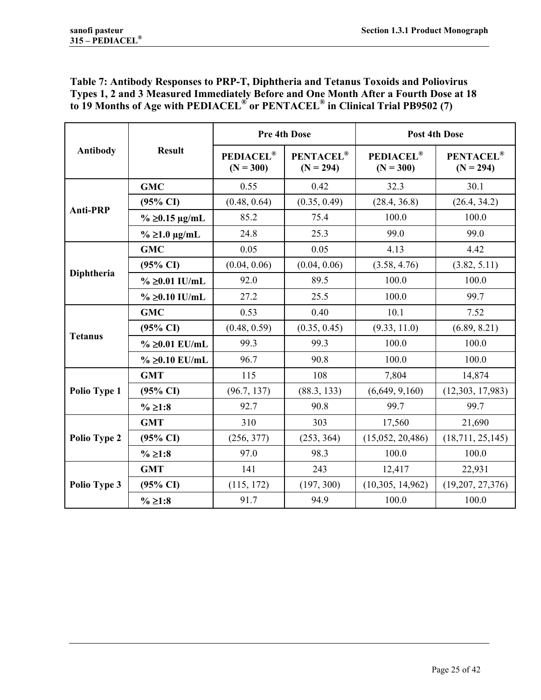## **Table 7: Antibody Responses to PRP-T, Diphtheria and Tetanus Toxoids and Poliovirus Types 1, 2 and 3 Measured Immediately Before and One Month After a Fourth Dose at 18 to 19 Months of Age with PEDIACEL® or PENTACEL® in Clinical Trial PB9502 (7)**

|                 | <b>Result</b>         |                                 | <b>Pre 4th Dose</b>      | <b>Post 4th Dose</b>            |                                 |  |
|-----------------|-----------------------|---------------------------------|--------------------------|---------------------------------|---------------------------------|--|
| Antibody        |                       | <b>PEDIACEL®</b><br>$(N = 300)$ | PENTACEL®<br>$(N = 294)$ | <b>PEDIACEL®</b><br>$(N = 300)$ | <b>PENTACEL®</b><br>$(N = 294)$ |  |
|                 | <b>GMC</b>            | 0.55                            | 0.42                     | 32.3                            | 30.1                            |  |
| <b>Anti-PRP</b> | $(95\% \text{ CI})$   | (0.48, 0.64)                    | (0.35, 0.49)             | (28.4, 36.8)                    | (26.4, 34.2)                    |  |
|                 | $\%$ ≥0.15 µg/mL      | 85.2                            | 75.4                     | 100.0                           | 100.0                           |  |
|                 | $\%$ $\geq$ 1.0 µg/mL | 24.8                            | 25.3                     | 99.0                            | 99.0                            |  |
|                 | <b>GMC</b>            | 0.05                            | 0.05                     | 4.13                            | 4.42                            |  |
|                 | $(95\% \text{ CI})$   | (0.04, 0.06)                    | (0.04, 0.06)             | (3.58, 4.76)                    | (3.82, 5.11)                    |  |
| Diphtheria      | % ≥0.01 IU/mL         | 92.0                            | 89.5                     | 100.0                           | 100.0                           |  |
|                 | % ≥0.10 IU/mL         | 27.2                            | 25.5                     | 100.0                           | 99.7                            |  |
|                 | <b>GMC</b>            | 0.53                            | 0.40                     | 10.1                            | 7.52                            |  |
|                 | $(95\% \text{ CI})$   | (0.48, 0.59)                    | (0.35, 0.45)             | (9.33, 11.0)                    | (6.89, 8.21)                    |  |
| <b>Tetanus</b>  | % ≥0.01 EU/mL         | 99.3                            | 99.3                     | 100.0                           | 100.0                           |  |
|                 | % ≥0.10 $EU/mL$       | 96.7                            | 90.8                     | 100.0                           | 100.0                           |  |
|                 | <b>GMT</b>            | 115                             | 108                      | 7,804                           | 14,874                          |  |
| Polio Type 1    | $(95\% \text{ CI})$   | (96.7, 137)                     | (88.3, 133)              | (6,649, 9,160)                  | (12,303, 17,983)                |  |
|                 | $\%$ ≥1:8             | 92.7                            | 90.8                     | 99.7                            | 99.7                            |  |
|                 | <b>GMT</b>            | 310                             | 303                      | 17,560                          | 21,690                          |  |
| Polio Type 2    | $(95\% \text{ CI})$   | (256, 377)                      | (253, 364)               | (15,052, 20,486)                | (18, 711, 25, 145)              |  |
|                 | % ≥ 1:8               | 97.0                            | 98.3                     | 100.0                           | 100.0                           |  |
| Polio Type 3    | <b>GMT</b>            | 141                             | 243                      | 12,417                          | 22,931                          |  |
|                 | $(95\% \text{ CI})$   | (115, 172)                      | (197, 300)               | (10,305, 14,962)                | (19,207, 27,376)                |  |
|                 | $\%$ ≥1:8             | 91.7                            | 94.9                     | 100.0                           | 100.0                           |  |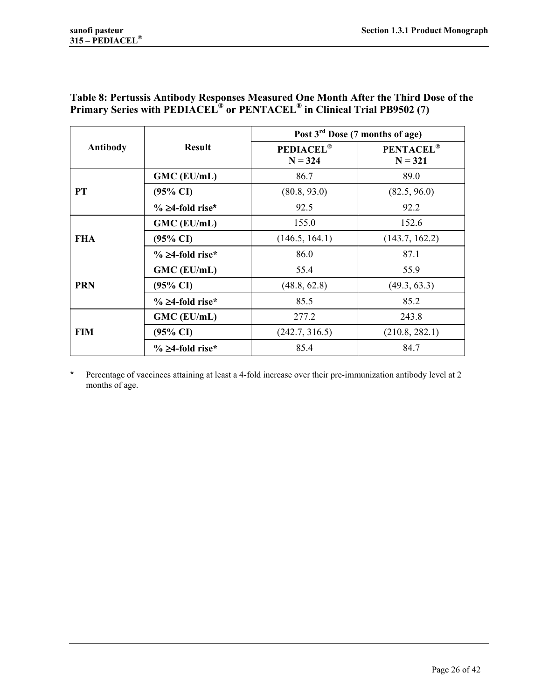## **Table 8: Pertussis Antibody Responses Measured One Month After the Third Dose of the Primary Series with PEDIACEL® or PENTACEL® in Clinical Trial PB9502 (7)**

|                 |                     | Post 3 <sup>rd</sup> Dose (7 months of age) |                               |  |
|-----------------|---------------------|---------------------------------------------|-------------------------------|--|
| <b>Antibody</b> | <b>Result</b>       | <b>PEDIACEL®</b><br>$N = 324$               | <b>PENTACEL®</b><br>$N = 321$ |  |
|                 | GMC (EU/mL)         | 86.7                                        | 89.0                          |  |
| PT              | $(95\% \text{ CI})$ | (80.8, 93.0)                                | (82.5, 96.0)                  |  |
|                 | % ≥4-fold rise*     | 92.5                                        | 92.2                          |  |
|                 | GMC (EU/mL)         | 155.0                                       | 152.6                         |  |
| <b>FHA</b>      | $(95\% \text{ CI})$ | (146.5, 164.1)                              | (143.7, 162.2)                |  |
|                 | % ≥4-fold rise*     | 86.0                                        | 87.1                          |  |
|                 | GMC (EU/mL)         | 55.4                                        | 55.9                          |  |
| <b>PRN</b>      | $(95\% \text{ CI})$ | (48.8, 62.8)                                | (49.3, 63.3)                  |  |
|                 | % ≥4-fold rise*     | 85.5                                        | 85.2                          |  |
|                 | GMC (EU/mL)         | 277.2                                       | 243.8                         |  |
| <b>FIM</b>      | $(95\% \text{ CI})$ | (242.7, 316.5)                              | (210.8, 282.1)                |  |
|                 | % ≥4-fold rise*     | 85.4                                        | 84.7                          |  |

\* Percentage of vaccinees attaining at least a 4-fold increase over their pre-immunization antibody level at 2 months of age.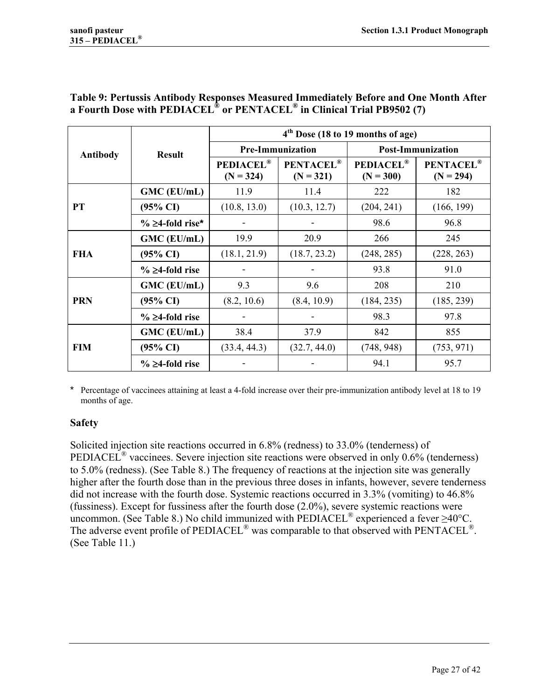|                 |                     | 4 <sup>th</sup> Dose (18 to 19 months of age) |                                 |                                 |                                 |  |
|-----------------|---------------------|-----------------------------------------------|---------------------------------|---------------------------------|---------------------------------|--|
| <b>Antibody</b> | <b>Result</b>       |                                               | <b>Pre-Immunization</b>         | <b>Post-Immunization</b>        |                                 |  |
|                 |                     | <b>PEDIACEL®</b><br>$(N = 324)$               | <b>PENTACEL®</b><br>$(N = 321)$ | <b>PEDIACEL®</b><br>$(N = 300)$ | <b>PENTACEL®</b><br>$(N = 294)$ |  |
|                 | GMC (EU/mL)         | 11.9                                          | 11.4                            | 222                             | 182                             |  |
| <b>PT</b>       | $(95\% \text{ CI})$ | (10.8, 13.0)                                  | (10.3, 12.7)                    | (204, 241)                      | (166, 199)                      |  |
|                 | % ≥4-fold rise*     |                                               |                                 | 98.6                            | 96.8                            |  |
|                 | GMC (EU/mL)         | 19.9                                          | 20.9                            | 266                             | 245                             |  |
| <b>FHA</b>      | $(95\% \text{ CI})$ | (18.1, 21.9)                                  | (18.7, 23.2)                    | (248, 285)                      | (228, 263)                      |  |
|                 | % ≥4-fold rise      |                                               |                                 | 93.8                            | 91.0                            |  |
|                 | GMC (EU/mL)         | 9.3                                           | 9.6                             | 208                             | 210                             |  |
| <b>PRN</b>      | $(95\% \text{ CI})$ | (8.2, 10.6)                                   | (8.4, 10.9)                     | (184, 235)                      | (185, 239)                      |  |
|                 | % ≥4-fold rise      |                                               |                                 | 98.3                            | 97.8                            |  |
| <b>FIM</b>      | GMC (EU/mL)         | 38.4                                          | 37.9                            | 842                             | 855                             |  |
|                 | $(95\% \text{ CI})$ | (33.4, 44.3)                                  | (32.7, 44.0)                    | (748, 948)                      | (753, 971)                      |  |
|                 | % ≥4-fold rise      |                                               |                                 | 94.1                            | 95.7                            |  |

## **Table 9: Pertussis Antibody Responses Measured Immediately Before and One Month After a Fourth Dose with PEDIACEL® or PENTACEL® in Clinical Trial PB9502 (7)**

Percentage of vaccinees attaining at least a 4-fold increase over their pre-immunization antibody level at 18 to 19 months of age.

# **Safety**

Solicited injection site reactions occurred in 6.8% (redness) to 33.0% (tenderness) of PEDIACEL® vaccinees. Severe injection site reactions were observed in only 0.6% (tenderness) to 5.0% (redness). (See Table 8.) The frequency of reactions at the injection site was generally higher after the fourth dose than in the previous three doses in infants, however, severe tenderness did not increase with the fourth dose. Systemic reactions occurred in 3.3% (vomiting) to 46.8% (fussiness). Except for fussiness after the fourth dose (2.0%), severe systemic reactions were uncommon. (See Table 8.) No child immunized with PEDIACEL® experienced a fever ≥40°C. The adverse event profile of PEDIACEL<sup>®</sup> was comparable to that observed with PENTACEL<sup>®</sup>. (See Table 11.)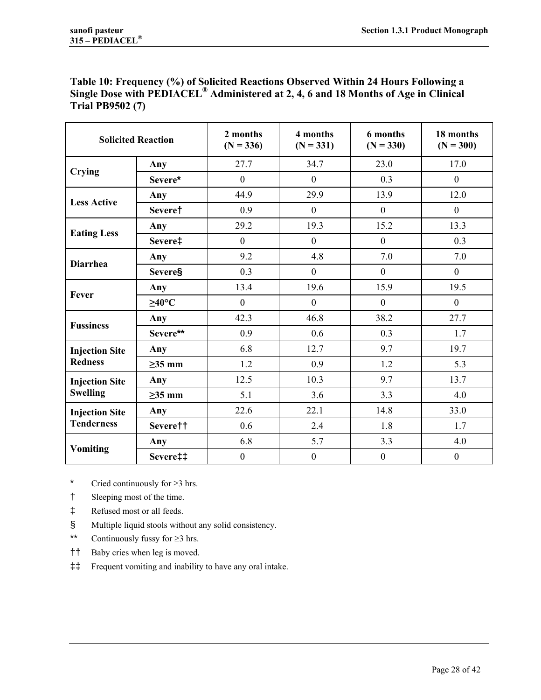| Table 10: Frequency (%) of Solicited Reactions Observed Within 24 Hours Following a             |
|-------------------------------------------------------------------------------------------------|
| Single Dose with PEDIACEL <sup>®</sup> Administered at 2, 4, 6 and 18 Months of Age in Clinical |
| <b>Trial PB9502 (7)</b>                                                                         |

| <b>Solicited Reaction</b>                  |                    | 2 months<br>$(N = 336)$ | 4 months<br>$(N = 331)$ | 6 months<br>$(N = 330)$ | 18 months<br>$(N = 300)$ |
|--------------------------------------------|--------------------|-------------------------|-------------------------|-------------------------|--------------------------|
|                                            | Any                | 27.7                    | 34.7                    | 23.0                    | 17.0                     |
| <b>Crying</b>                              | Severe*            | $\theta$                | $\mathbf{0}$            | 0.3                     | $\boldsymbol{0}$         |
| <b>Less Active</b>                         | Any                | 44.9                    | 29.9                    | 13.9                    | 12.0                     |
|                                            | Severe†            | 0.9                     | $\mathbf{0}$            | $\overline{0}$          | $\mathbf{0}$             |
|                                            | Any                | 29.2                    | 19.3                    | 15.2                    | 13.3                     |
| <b>Eating Less</b>                         | Severe‡            | $\overline{0}$          | $\boldsymbol{0}$        | $\overline{0}$          | 0.3                      |
| <b>Diarrhea</b>                            | Any                | 9.2                     | 4.8                     | 7.0                     | 7.0                      |
|                                            | <b>Severe§</b>     | 0.3                     | $\boldsymbol{0}$        | $\boldsymbol{0}$        | $\mathbf{0}$             |
| Fever                                      | Any                | 13.4                    | 19.6                    | 15.9                    | 19.5                     |
|                                            | $\geq 40^{\circ}C$ | $\overline{0}$          | $\mathbf{0}$            | $\mathbf{0}$            | $\boldsymbol{0}$         |
| <b>Fussiness</b>                           | Any                | 42.3                    | 46.8                    | 38.2                    | 27.7                     |
|                                            | Severe**           | 0.9                     | 0.6                     | 0.3                     | 1.7                      |
| <b>Injection Site</b>                      | Any                | 6.8                     | 12.7                    | 9.7                     | 19.7                     |
| <b>Redness</b>                             | $\geq$ 35 mm       | 1.2                     | 0.9                     | 1.2                     | 5.3                      |
| <b>Injection Site</b>                      | Any                | 12.5                    | 10.3                    | 9.7                     | 13.7                     |
| <b>Swelling</b>                            | $\geq$ 35 mm       | 5.1                     | 3.6                     | 3.3                     | 4.0                      |
| <b>Injection Site</b><br><b>Tenderness</b> | Any                | 22.6                    | 22.1                    | 14.8                    | 33.0                     |
|                                            | Severe††           | 0.6                     | 2.4                     | 1.8                     | 1.7                      |
|                                            | Any                | 6.8                     | 5.7                     | 3.3                     | 4.0                      |
| <b>Vomiting</b>                            | Severe‡‡           | $\mathbf{0}$            | $\boldsymbol{0}$        | $\boldsymbol{0}$        | $\mathbf{0}$             |

\* Cried continuously for  $\geq 3$  hrs.

- † Sleeping most of the time.
- ‡ Refused most or all feeds.
- § Multiple liquid stools without any solid consistency.
- \*\* Continuously fussy for  $\geq 3$  hrs.
- †† Baby cries when leg is moved.
- ‡‡ Frequent vomiting and inability to have any oral intake.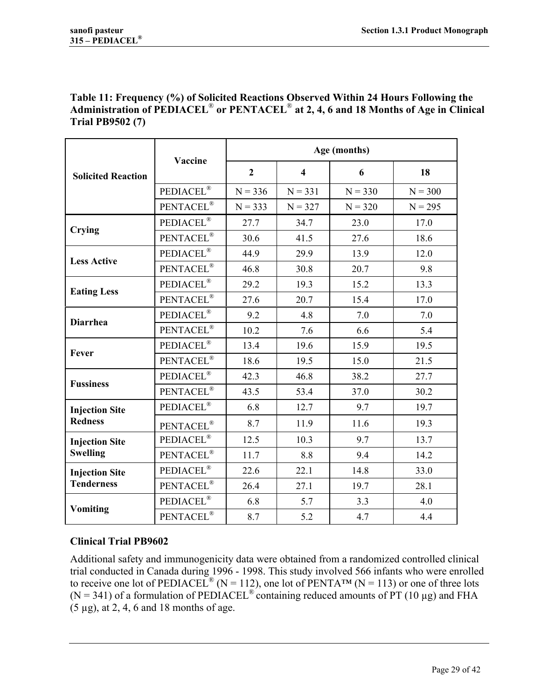## **Table 11: Frequency (%) of Solicited Reactions Observed Within 24 Hours Following the Administration of PEDIACEL**® **or PENTACEL**® **at 2, 4, 6 and 18 Months of Age in Clinical Trial PB9502 (7)**

|                           | Vaccine                       | Age (months)   |                  |           |           |  |
|---------------------------|-------------------------------|----------------|------------------|-----------|-----------|--|
| <b>Solicited Reaction</b> |                               | $\overline{2}$ | $\boldsymbol{4}$ | 6         | 18        |  |
|                           | PEDIACEL <sup>®</sup>         | $N = 336$      | $N = 331$        | $N = 330$ | $N = 300$ |  |
|                           | PENTACEL <sup>®</sup>         | $N = 333$      | $N = 327$        | $N = 320$ | $N = 295$ |  |
| Crying                    | <b>PEDIACEL®</b>              | 27.7           | 34.7             | 23.0      | 17.0      |  |
|                           | PENTACEL <sup>®</sup>         | 30.6           | 41.5             | 27.6      | 18.6      |  |
| <b>Less Active</b>        | PEDIACEL <sup>®</sup>         | 44.9           | 29.9             | 13.9      | 12.0      |  |
|                           | PENTACEL <sup>®</sup>         | 46.8           | 30.8             | 20.7      | 9.8       |  |
| <b>Eating Less</b>        | PEDIACEL <sup>®</sup>         | 29.2           | 19.3             | 15.2      | 13.3      |  |
|                           | PENTACEL®                     | 27.6           | 20.7             | 15.4      | 17.0      |  |
| <b>Diarrhea</b>           | PEDIACEL <sup>®</sup>         | 9.2            | 4.8              | 7.0       | 7.0       |  |
|                           | PENTACEL®                     | 10.2           | 7.6              | 6.6       | 5.4       |  |
| Fever                     | PEDIACEL <sup>®</sup>         | 13.4           | 19.6             | 15.9      | 19.5      |  |
|                           | $\text{PENTACLE}^{\circledR}$ | 18.6           | 19.5             | 15.0      | 21.5      |  |
| <b>Fussiness</b>          | PEDIACEL <sup>®</sup>         | 42.3           | 46.8             | 38.2      | 27.7      |  |
|                           | PENTACEL®                     | 43.5           | 53.4             | 37.0      | 30.2      |  |
| <b>Injection Site</b>     | PEDIACEL <sup>®</sup>         | 6.8            | 12.7             | 9.7       | 19.7      |  |
| <b>Redness</b>            | PENTACEL®                     | 8.7            | 11.9             | 11.6      | 19.3      |  |
| <b>Injection Site</b>     | PEDIACEL®                     | 12.5           | 10.3             | 9.7       | 13.7      |  |
| <b>Swelling</b>           | PENTACEL <sup>®</sup>         | 11.7           | 8.8              | 9.4       | 14.2      |  |
| <b>Injection Site</b>     | PEDIACEL <sup>®</sup>         | 22.6           | 22.1             | 14.8      | 33.0      |  |
| <b>Tenderness</b>         | PENTACEL <sup>®</sup>         | 26.4           | 27.1             | 19.7      | 28.1      |  |
| <b>Vomiting</b>           | PEDIACEL <sup>®</sup>         | 6.8            | 5.7              | 3.3       | 4.0       |  |
|                           | PENTACEL <sup>®</sup>         | 8.7            | 5.2              | 4.7       | 4.4       |  |

## **Clinical Trial PB9602**

Additional safety and immunogenicity data were obtained from a randomized controlled clinical trial conducted in Canada during 1996 - 1998. This study involved 566 infants who were enrolled to receive one lot of PEDIACEL<sup>®</sup> (N = 112), one lot of PENTA<sup>TM</sup> (N = 113) or one of three lots (N = 341) of a formulation of PEDIACEL<sup>®</sup> containing reduced amounts of PT (10 µg) and FHA (5 µg), at 2, 4, 6 and 18 months of age.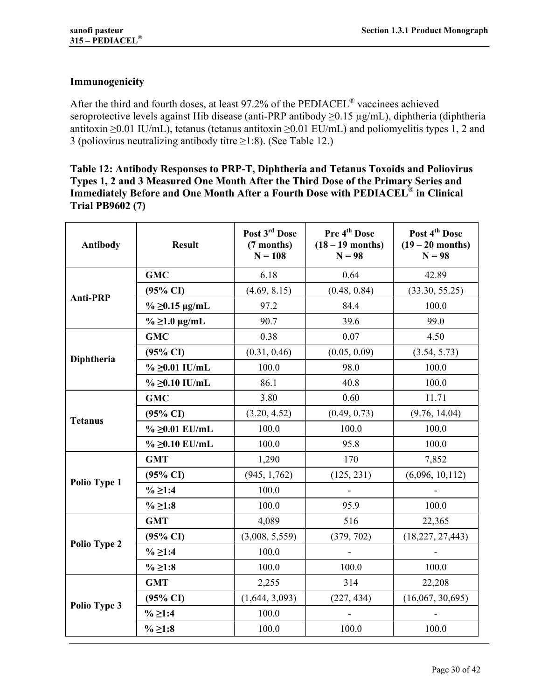## **Immunogenicity**

After the third and fourth doses, at least 97.2% of the PEDIACEL® vaccinees achieved seroprotective levels against Hib disease (anti-PRP antibody ≥0.15 µg/mL), diphtheria (diphtheria antitoxin ≥0.01 IU/mL), tetanus (tetanus antitoxin ≥0.01 EU/mL) and poliomyelitis types 1, 2 and 3 (poliovirus neutralizing antibody titre  $\geq$ 1:8). (See Table 12.)

**Table 12: Antibody Responses to PRP-T, Diphtheria and Tetanus Toxoids and Poliovirus Types 1, 2 and 3 Measured One Month After the Third Dose of the Primary Series and Immediately Before and One Month After a Fourth Dose with PEDIACEL**® **in Clinical Trial PB9602 (7)** 

| <b>Antibody</b>     | <b>Result</b>       | Post 3rd Dose<br>(7 months)<br>$N = 108$ | Pre 4 <sup>th</sup> Dose<br>$(18-19$ months)<br>$N = 98$ | Post 4 <sup>th</sup> Dose<br>$(19 - 20$ months)<br>$N = 98$ |
|---------------------|---------------------|------------------------------------------|----------------------------------------------------------|-------------------------------------------------------------|
|                     | <b>GMC</b>          | 6.18                                     | 0.64                                                     | 42.89                                                       |
| <b>Anti-PRP</b>     | $(95\% \text{ CI})$ | (4.69, 8.15)                             | (0.48, 0.84)                                             | (33.30, 55.25)                                              |
|                     | $\%$ ≥0.15 µg/mL    | 97.2                                     | 84.4                                                     | 100.0                                                       |
|                     | $\%$ ≥1.0 µg/mL     | 90.7                                     | 39.6                                                     | 99.0                                                        |
|                     | <b>GMC</b>          | 0.38                                     | 0.07                                                     | 4.50                                                        |
| Diphtheria          | $(95\% \text{ CI})$ | (0.31, 0.46)                             | (0.05, 0.09)                                             | (3.54, 5.73)                                                |
|                     | % ≥0.01 IU/mL       | 100.0                                    | 98.0                                                     | 100.0                                                       |
|                     | % ≥0.10 IU/mL       | 86.1                                     | 40.8                                                     | 100.0                                                       |
|                     | <b>GMC</b>          | 3.80                                     | 0.60                                                     | 11.71                                                       |
| <b>Tetanus</b>      | $(95\% \text{ CI})$ | (3.20, 4.52)                             | (0.49, 0.73)                                             | (9.76, 14.04)                                               |
|                     | % ≥0.01 EU/mL       | 100.0                                    | 100.0                                                    | 100.0                                                       |
|                     | % ≥0.10 $EU/mL$     | 100.0                                    | 95.8                                                     | 100.0                                                       |
|                     | <b>GMT</b>          | 1,290                                    | 170                                                      | 7,852                                                       |
| <b>Polio Type 1</b> | $(95\% \text{ CI})$ | (945, 1, 762)                            | (125, 231)                                               | (6,096, 10,112)                                             |
|                     | $%$ ≥1:4            | 100.0                                    | ÷,                                                       |                                                             |
|                     | % ≥1:8              | 100.0                                    | 95.9                                                     | 100.0                                                       |
|                     | <b>GMT</b>          | 4,089                                    | 516                                                      | 22,365                                                      |
| Polio Type 2        | $(95\% \text{ CI})$ | (3,008, 5,559)                           | (379, 702)                                               | (18, 227, 27, 443)                                          |
|                     | $\%$ ≥1:4           | 100.0                                    |                                                          |                                                             |
|                     | % ≥ 1:8             | 100.0                                    | 100.0                                                    | 100.0                                                       |
|                     | <b>GMT</b>          | 2,255                                    | 314                                                      | 22,208                                                      |
| Polio Type 3        | $(95\% \text{ CI})$ | (1,644, 3,093)                           | (227, 434)                                               | (16,067, 30,695)                                            |
|                     | % ≥1:4              | 100.0                                    |                                                          |                                                             |
|                     | % ≥ 1:8             | 100.0                                    | 100.0                                                    | 100.0                                                       |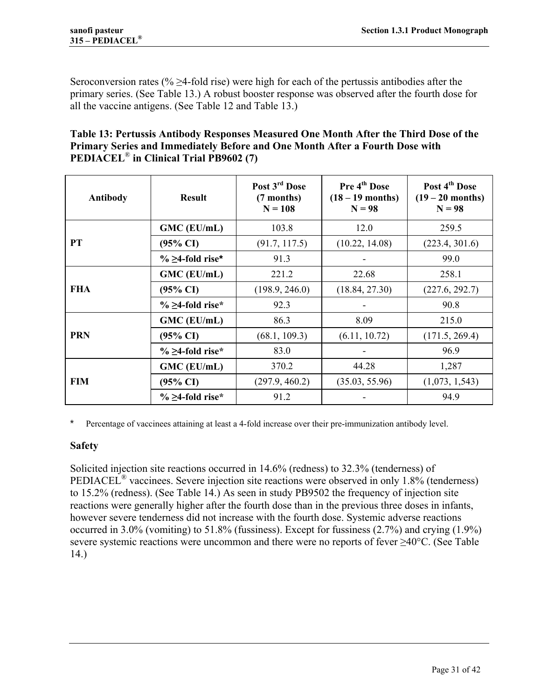Seroconversion rates (%  $\geq$ 4-fold rise) were high for each of the pertussis antibodies after the primary series. (See Table 13.) A robust booster response was observed after the fourth dose for all the vaccine antigens. (See Table 12 and Table 13.)

## **Table 13: Pertussis Antibody Responses Measured One Month After the Third Dose of the Primary Series and Immediately Before and One Month After a Fourth Dose with PEDIACEL**® **in Clinical Trial PB9602 (7)**

| <b>Result</b><br><b>Antibody</b> |                     | Post 3 <sup>rd</sup> Dose<br>(7 months)<br>$N = 108$ | Pre 4 <sup>th</sup> Dose<br>$(18-19$ months)<br>$N = 98$ | Post 4 <sup>th</sup> Dose<br>$(19-20$ months)<br>$N = 98$ |
|----------------------------------|---------------------|------------------------------------------------------|----------------------------------------------------------|-----------------------------------------------------------|
|                                  | GMC (EU/mL)         | 103.8                                                | 12.0                                                     | 259.5                                                     |
| PT                               | $(95\% \text{ CI})$ | (91.7, 117.5)                                        | (10.22, 14.08)                                           | (223.4, 301.6)                                            |
|                                  | % ≥4-fold rise*     | 91.3                                                 |                                                          | 99.0                                                      |
|                                  | GMC (EU/mL)         | 221.2                                                | 22.68                                                    | 258.1                                                     |
| <b>FHA</b>                       | $(95\% \text{ CI})$ | (198.9, 246.0)                                       | (18.84, 27.30)                                           | (227.6, 292.7)                                            |
|                                  | % ≥4-fold rise*     | 92.3                                                 | -                                                        | 90.8                                                      |
|                                  | GMC (EU/mL)         | 86.3                                                 | 8.09                                                     | 215.0                                                     |
| <b>PRN</b>                       | $(95\% \text{ CI})$ | (68.1, 109.3)                                        | (6.11, 10.72)                                            | (171.5, 269.4)                                            |
|                                  | % ≥4-fold rise*     | 83.0                                                 |                                                          | 96.9                                                      |
|                                  | GMC (EU/mL)         | 370.2                                                | 44.28                                                    | 1,287                                                     |
| <b>FIM</b>                       | $(95\% \text{ CI})$ | (297.9, 460.2)                                       | (35.03, 55.96)                                           | (1,073, 1,543)                                            |
|                                  | % ≥4-fold rise*     | 91.2                                                 |                                                          | 94.9                                                      |

\* Percentage of vaccinees attaining at least a 4-fold increase over their pre-immunization antibody level.

## **Safety**

Solicited injection site reactions occurred in 14.6% (redness) to 32.3% (tenderness) of PEDIACEL® vaccinees. Severe injection site reactions were observed in only 1.8% (tenderness) to 15.2% (redness). (See Table 14.) As seen in study PB9502 the frequency of injection site reactions were generally higher after the fourth dose than in the previous three doses in infants, however severe tenderness did not increase with the fourth dose. Systemic adverse reactions occurred in 3.0% (vomiting) to 51.8% (fussiness). Except for fussiness (2.7%) and crying (1.9%) severe systemic reactions were uncommon and there were no reports of fever ≥40°C. (See Table 14.)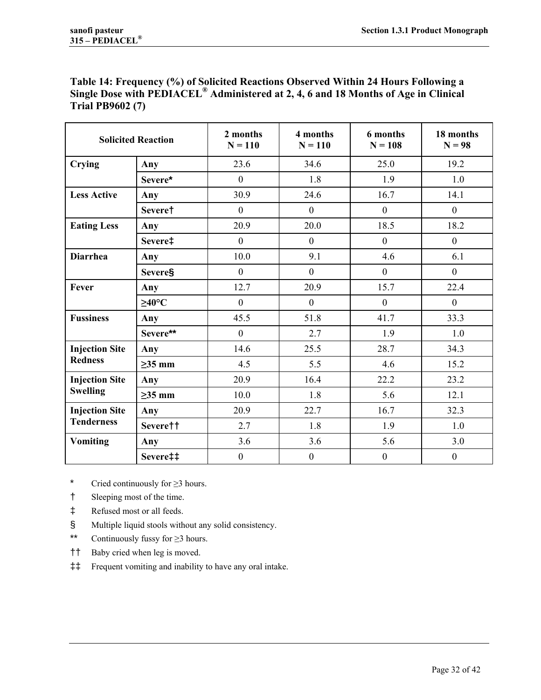| Table 14: Frequency (%) of Solicited Reactions Observed Within 24 Hours Following a             |  |  |
|-------------------------------------------------------------------------------------------------|--|--|
| Single Dose with PEDIACEL <sup>®</sup> Administered at 2, 4, 6 and 18 Months of Age in Clinical |  |  |
| <b>Trial PB9602 (7)</b>                                                                         |  |  |

| <b>Solicited Reaction</b>                  |                 | 2 months<br>$N = 110$ | 4 months<br>$N = 110$ | 6 months<br>$N = 108$ | 18 months<br>$N = 98$ |
|--------------------------------------------|-----------------|-----------------------|-----------------------|-----------------------|-----------------------|
| <b>Crying</b>                              | Any             | 23.6                  | 34.6                  | 25.0                  | 19.2                  |
|                                            | Severe*         | $\mathbf{0}$          | 1.8                   | 1.9                   | 1.0                   |
| <b>Less Active</b>                         | Any             | 30.9                  | 24.6                  | 16.7                  | 14.1                  |
|                                            | Severe†         | $\mathbf{0}$          | $\boldsymbol{0}$      | $\mathbf{0}$          | $\mathbf{0}$          |
| <b>Eating Less</b>                         | Any             | 20.9                  | 20.0                  | 18.5                  | 18.2                  |
|                                            | Severe‡         | $\mathbf{0}$          | $\boldsymbol{0}$      | $\overline{0}$        | $\mathbf{0}$          |
| <b>Diarrhea</b>                            | Any             | 10.0                  | 9.1                   | 4.6                   | 6.1                   |
|                                            | <b>Severe</b> § | $\mathbf{0}$          | $\boldsymbol{0}$      | $\mathbf{0}$          | $\overline{0}$        |
| Fever                                      | Any             | 12.7                  | 20.9                  | 15.7                  | 22.4                  |
|                                            | $\geq$ 40°C     | $\mathbf{0}$          | $\overline{0}$        | $\mathbf{0}$          | $\overline{0}$        |
| <b>Fussiness</b>                           | Any             | 45.5                  | 51.8                  | 41.7                  | 33.3                  |
|                                            | Severe**        | $\boldsymbol{0}$      | 2.7                   | 1.9                   | 1.0                   |
| <b>Injection Site</b>                      | Any             | 14.6                  | 25.5                  | 28.7                  | 34.3                  |
| <b>Redness</b>                             | $\geq$ 35 mm    | 4.5                   | 5.5                   | 4.6                   | 15.2                  |
| <b>Injection Site</b>                      | Any             | 20.9                  | 16.4                  | 22.2                  | 23.2                  |
| <b>Swelling</b>                            | $\geq$ 35 mm    | 10.0                  | 1.8                   | 5.6                   | 12.1                  |
| <b>Injection Site</b><br><b>Tenderness</b> | Any             | 20.9                  | 22.7                  | 16.7                  | 32.3                  |
|                                            | Severe††        | 2.7                   | 1.8                   | 1.9                   | 1.0                   |
| <b>Vomiting</b>                            | Any             | 3.6                   | 3.6                   | 5.6                   | 3.0                   |
|                                            | Severe‡‡        | $\boldsymbol{0}$      | $\boldsymbol{0}$      | $\boldsymbol{0}$      | $\boldsymbol{0}$      |

\* Cried continuously for ≥3 hours.

- † Sleeping most of the time.
- ‡ Refused most or all feeds.
- § Multiple liquid stools without any solid consistency.
- \*\* Continuously fussy for ≥3 hours.
- †† Baby cried when leg is moved.
- ‡‡ Frequent vomiting and inability to have any oral intake.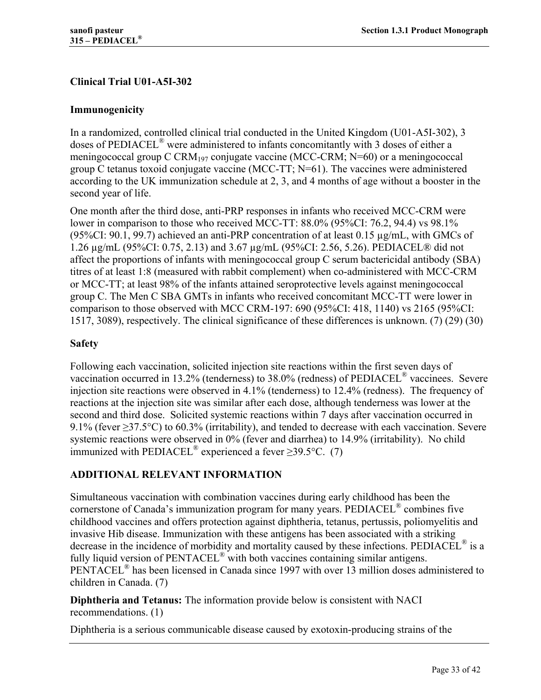# **Clinical Trial U01-A5I-302**

## **Immunogenicity**

In a randomized, controlled clinical trial conducted in the United Kingdom (U01-A5I-302), 3 doses of PEDIACEL® were administered to infants concomitantly with 3 doses of either a meningococcal group C CRM<sub>197</sub> conjugate vaccine (MCC-CRM; N=60) or a meningococcal group C tetanus toxoid conjugate vaccine (MCC-TT; N=61). The vaccines were administered according to the UK immunization schedule at 2, 3, and 4 months of age without a booster in the second year of life.

One month after the third dose, anti-PRP responses in infants who received MCC-CRM were lower in comparison to those who received MCC-TT: 88.0% (95%CI: 76.2, 94.4) vs 98.1% (95%CI: 90.1, 99.7) achieved an anti-PRP concentration of at least  $0.15 \mu g/mL$ , with GMCs of 1.26 µg/mL (95%CI: 0.75, 2.13) and 3.67 µg/mL (95%CI: 2.56, 5.26). PEDIACEL® did not affect the proportions of infants with meningococcal group C serum bactericidal antibody (SBA) titres of at least 1:8 (measured with rabbit complement) when co-administered with MCC-CRM or MCC-TT; at least 98% of the infants attained seroprotective levels against meningococcal group C. The Men C SBA GMTs in infants who received concomitant MCC-TT were lower in comparison to those observed with MCC CRM-197: 690 (95%CI: 418, 1140) vs 2165 (95%CI: 1517, 3089), respectively. The clinical significance of these differences is unknown. (7) (29) (30)

## **Safety**

Following each vaccination, solicited injection site reactions within the first seven days of vaccination occurred in 13.2% (tenderness) to 38.0% (redness) of PEDIACEL® vaccinees. Severe injection site reactions were observed in 4.1% (tenderness) to 12.4% (redness). The frequency of reactions at the injection site was similar after each dose, although tenderness was lower at the second and third dose. Solicited systemic reactions within 7 days after vaccination occurred in 9.1% (fever  $\geq$ 37.5°C) to 60.3% (irritability), and tended to decrease with each vaccination. Severe systemic reactions were observed in 0% (fever and diarrhea) to 14.9% (irritability). No child immunized with PEDIACEL<sup>®</sup> experienced a fever  $\geq$ 39.5°C. (7)

# **ADDITIONAL RELEVANT INFORMATION**

Simultaneous vaccination with combination vaccines during early childhood has been the cornerstone of Canada's immunization program for many years. PEDIACEL® combines five childhood vaccines and offers protection against diphtheria, tetanus, pertussis, poliomyelitis and invasive Hib disease. Immunization with these antigens has been associated with a striking decrease in the incidence of morbidity and mortality caused by these infections. PEDIACEL<sup>®</sup> is a fully liquid version of PENTACEL® with both vaccines containing similar antigens. PENTACEL<sup>®</sup> has been licensed in Canada since 1997 with over 13 million doses administered to children in Canada. (7)

**Diphtheria and Tetanus:** The information provide below is consistent with NACI recommendations. (1)

Diphtheria is a serious communicable disease caused by exotoxin-producing strains of the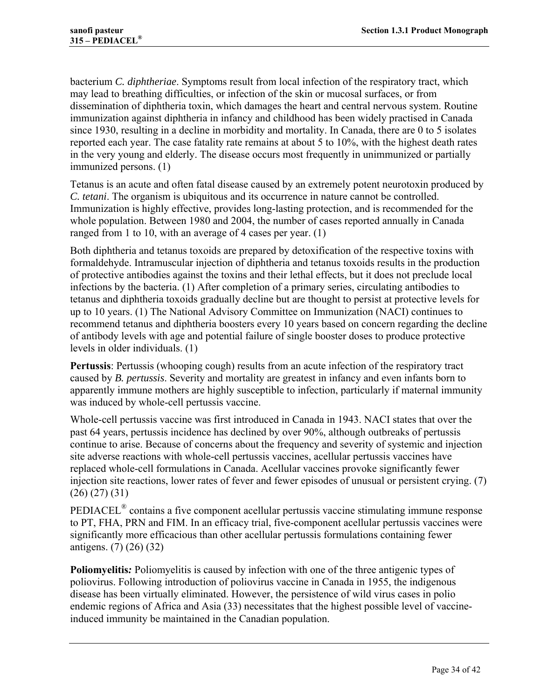bacterium *C. diphtheriae*. Symptoms result from local infection of the respiratory tract, which may lead to breathing difficulties, or infection of the skin or mucosal surfaces, or from dissemination of diphtheria toxin, which damages the heart and central nervous system. Routine immunization against diphtheria in infancy and childhood has been widely practised in Canada since 1930, resulting in a decline in morbidity and mortality. In Canada, there are 0 to 5 isolates reported each year. The case fatality rate remains at about 5 to 10%, with the highest death rates in the very young and elderly. The disease occurs most frequently in unimmunized or partially immunized persons. (1)

Tetanus is an acute and often fatal disease caused by an extremely potent neurotoxin produced by *C. tetani*. The organism is ubiquitous and its occurrence in nature cannot be controlled. Immunization is highly effective, provides long-lasting protection, and is recommended for the whole population. Between 1980 and 2004, the number of cases reported annually in Canada ranged from 1 to 10, with an average of 4 cases per year. (1)

Both diphtheria and tetanus toxoids are prepared by detoxification of the respective toxins with formaldehyde. Intramuscular injection of diphtheria and tetanus toxoids results in the production of protective antibodies against the toxins and their lethal effects, but it does not preclude local infections by the bacteria. (1) After completion of a primary series, circulating antibodies to tetanus and diphtheria toxoids gradually decline but are thought to persist at protective levels for up to 10 years. (1) The National Advisory Committee on Immunization (NACI) continues to recommend tetanus and diphtheria boosters every 10 years based on concern regarding the decline of antibody levels with age and potential failure of single booster doses to produce protective levels in older individuals. (1)

**Pertussis**: Pertussis (whooping cough) results from an acute infection of the respiratory tract caused by *B. pertussis*. Severity and mortality are greatest in infancy and even infants born to apparently immune mothers are highly susceptible to infection, particularly if maternal immunity was induced by whole-cell pertussis vaccine.

Whole-cell pertussis vaccine was first introduced in Canada in 1943. NACI states that over the past 64 years, pertussis incidence has declined by over 90%, although outbreaks of pertussis continue to arise. Because of concerns about the frequency and severity of systemic and injection site adverse reactions with whole-cell pertussis vaccines, acellular pertussis vaccines have replaced whole-cell formulations in Canada. Acellular vaccines provoke significantly fewer injection site reactions, lower rates of fever and fewer episodes of unusual or persistent crying. (7) (26) (27) (31)

PEDIACEL® contains a five component acellular pertussis vaccine stimulating immune response to PT, FHA, PRN and FIM. In an efficacy trial, five-component acellular pertussis vaccines were significantly more efficacious than other acellular pertussis formulations containing fewer antigens. (7) (26) (32)

**Poliomyelitis***:* Poliomyelitis is caused by infection with one of the three antigenic types of poliovirus. Following introduction of poliovirus vaccine in Canada in 1955, the indigenous disease has been virtually eliminated. However, the persistence of wild virus cases in polio endemic regions of Africa and Asia (33) necessitates that the highest possible level of vaccineinduced immunity be maintained in the Canadian population.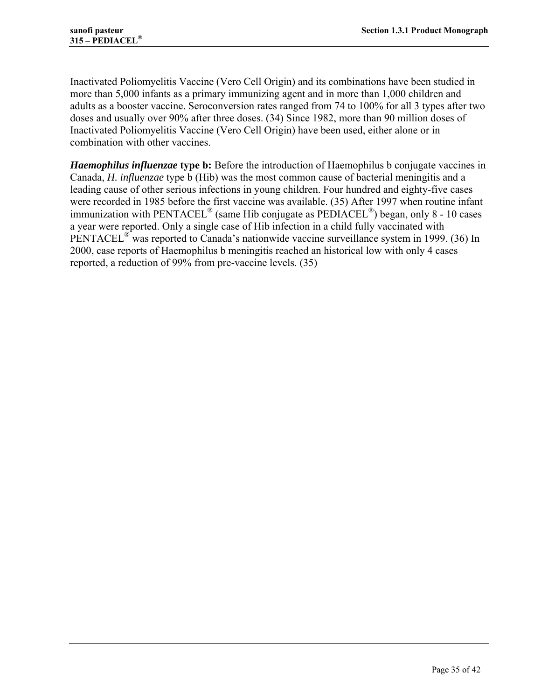Inactivated Poliomyelitis Vaccine (Vero Cell Origin) and its combinations have been studied in more than 5,000 infants as a primary immunizing agent and in more than 1,000 children and adults as a booster vaccine. Seroconversion rates ranged from 74 to 100% for all 3 types after two doses and usually over 90% after three doses. (34) Since 1982, more than 90 million doses of Inactivated Poliomyelitis Vaccine (Vero Cell Origin) have been used, either alone or in combination with other vaccines.

*Haemophilus influenzae* **type b:** Before the introduction of Haemophilus b conjugate vaccines in Canada, *H. influenzae* type b (Hib) was the most common cause of bacterial meningitis and a leading cause of other serious infections in young children. Four hundred and eighty-five cases were recorded in 1985 before the first vaccine was available. (35) After 1997 when routine infant immunization with  $PENTACEL^{\circledR}$  (same Hib conjugate as  $PEDIACEL^{\circledR}$ ) began, only 8 - 10 cases a year were reported. Only a single case of Hib infection in a child fully vaccinated with PENTACEL<sup>®</sup> was reported to Canada's nationwide vaccine surveillance system in 1999. (36) In 2000, case reports of Haemophilus b meningitis reached an historical low with only 4 cases reported, a reduction of 99% from pre-vaccine levels. (35)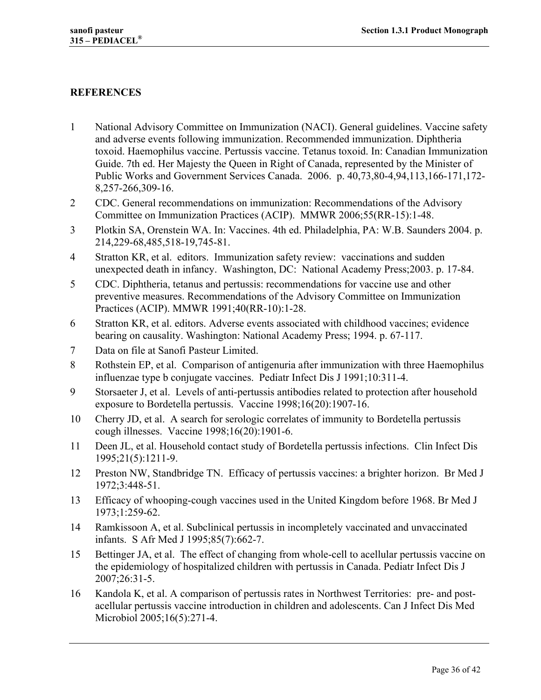## **REFERENCES**

- 1 National Advisory Committee on Immunization (NACI). General guidelines. Vaccine safety and adverse events following immunization. Recommended immunization. Diphtheria toxoid. Haemophilus vaccine. Pertussis vaccine. Tetanus toxoid. In: Canadian Immunization Guide. 7th ed. Her Majesty the Queen in Right of Canada, represented by the Minister of Public Works and Government Services Canada. 2006. p. 40,73,80-4,94,113,166-171,172- 8,257-266,309-16.
- 2 CDC. General recommendations on immunization: Recommendations of the Advisory Committee on Immunization Practices (ACIP). MMWR 2006;55(RR-15):1-48.
- 3 Plotkin SA, Orenstein WA. In: Vaccines. 4th ed. Philadelphia, PA: W.B. Saunders 2004. p. 214,229-68,485,518-19,745-81.
- 4 Stratton KR, et al. editors. Immunization safety review: vaccinations and sudden unexpected death in infancy. Washington, DC: National Academy Press;2003. p. 17-84.
- 5 CDC. Diphtheria, tetanus and pertussis: recommendations for vaccine use and other preventive measures. Recommendations of the Advisory Committee on Immunization Practices (ACIP). MMWR 1991;40(RR-10):1-28.
- 6 Stratton KR, et al. editors. Adverse events associated with childhood vaccines; evidence bearing on causality. Washington: National Academy Press; 1994. p. 67-117.
- 7 Data on file at Sanofi Pasteur Limited.
- 8 Rothstein EP, et al. Comparison of antigenuria after immunization with three Haemophilus influenzae type b conjugate vaccines. Pediatr Infect Dis J 1991;10:311-4.
- 9 Storsaeter J, et al. Levels of anti-pertussis antibodies related to protection after household exposure to Bordetella pertussis. Vaccine 1998;16(20):1907-16.
- 10 Cherry JD, et al. A search for serologic correlates of immunity to Bordetella pertussis cough illnesses. Vaccine 1998;16(20):1901-6.
- 11 Deen JL, et al. Household contact study of Bordetella pertussis infections. Clin Infect Dis 1995;21(5):1211-9.
- 12 Preston NW, Standbridge TN. Efficacy of pertussis vaccines: a brighter horizon. Br Med J 1972;3:448-51.
- 13 Efficacy of whooping-cough vaccines used in the United Kingdom before 1968. Br Med J 1973;1:259-62.
- 14 Ramkissoon A, et al. Subclinical pertussis in incompletely vaccinated and unvaccinated infants. S Afr Med J 1995;85(7):662-7.
- 15 Bettinger JA, et al. The effect of changing from whole-cell to acellular pertussis vaccine on the epidemiology of hospitalized children with pertussis in Canada. Pediatr Infect Dis J 2007;26:31-5.
- 16 Kandola K, et al. A comparison of pertussis rates in Northwest Territories: pre- and postacellular pertussis vaccine introduction in children and adolescents. Can J Infect Dis Med Microbiol 2005;16(5):271-4.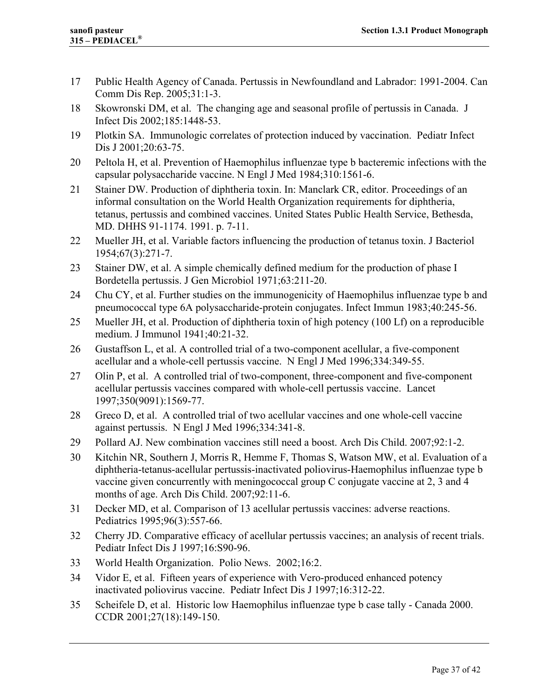- 17 Public Health Agency of Canada. Pertussis in Newfoundland and Labrador: 1991-2004. Can Comm Dis Rep. 2005;31:1-3.
- 18 Skowronski DM, et al. The changing age and seasonal profile of pertussis in Canada. J Infect Dis 2002;185:1448-53.
- 19 Plotkin SA. Immunologic correlates of protection induced by vaccination. Pediatr Infect Dis J 2001;20:63-75.
- 20 Peltola H, et al. Prevention of Haemophilus influenzae type b bacteremic infections with the capsular polysaccharide vaccine. N Engl J Med 1984;310:1561-6.
- 21 Stainer DW. Production of diphtheria toxin. In: Manclark CR, editor. Proceedings of an informal consultation on the World Health Organization requirements for diphtheria, tetanus, pertussis and combined vaccines. United States Public Health Service, Bethesda, MD. DHHS 91-1174. 1991. p. 7-11.
- 22 Mueller JH, et al. Variable factors influencing the production of tetanus toxin. J Bacteriol 1954;67(3):271-7.
- 23 Stainer DW, et al. A simple chemically defined medium for the production of phase I Bordetella pertussis. J Gen Microbiol 1971;63:211-20.
- 24 Chu CY, et al. Further studies on the immunogenicity of Haemophilus influenzae type b and pneumococcal type 6A polysaccharide-protein conjugates. Infect Immun 1983;40:245-56.
- 25 Mueller JH, et al. Production of diphtheria toxin of high potency (100 Lf) on a reproducible medium. J Immunol 1941;40:21-32.
- 26 Gustaffson L, et al. A controlled trial of a two-component acellular, a five-component acellular and a whole-cell pertussis vaccine. N Engl J Med 1996;334:349-55.
- 27 Olin P, et al. A controlled trial of two-component, three-component and five-component acellular pertussis vaccines compared with whole-cell pertussis vaccine. Lancet 1997;350(9091):1569-77.
- 28 Greco D, et al. A controlled trial of two acellular vaccines and one whole-cell vaccine against pertussis. N Engl J Med 1996;334:341-8.
- 29 Pollard AJ. New combination vaccines still need a boost. Arch Dis Child. 2007;92:1-2.
- 30 Kitchin NR, Southern J, Morris R, Hemme F, Thomas S, Watson MW, et al. Evaluation of a diphtheria-tetanus-acellular pertussis-inactivated poliovirus-Haemophilus influenzae type b vaccine given concurrently with meningococcal group C conjugate vaccine at 2, 3 and 4 months of age. Arch Dis Child. 2007;92:11-6.
- 31 Decker MD, et al. Comparison of 13 acellular pertussis vaccines: adverse reactions. Pediatrics 1995;96(3):557-66.
- 32 Cherry JD. Comparative efficacy of acellular pertussis vaccines; an analysis of recent trials. Pediatr Infect Dis J 1997;16:S90-96.
- 33 World Health Organization. Polio News. 2002;16:2.
- 34 Vidor E, et al. Fifteen years of experience with Vero-produced enhanced potency inactivated poliovirus vaccine. Pediatr Infect Dis J 1997;16:312-22.
- 35 Scheifele D, et al. Historic low Haemophilus influenzae type b case tally Canada 2000. CCDR 2001;27(18):149-150.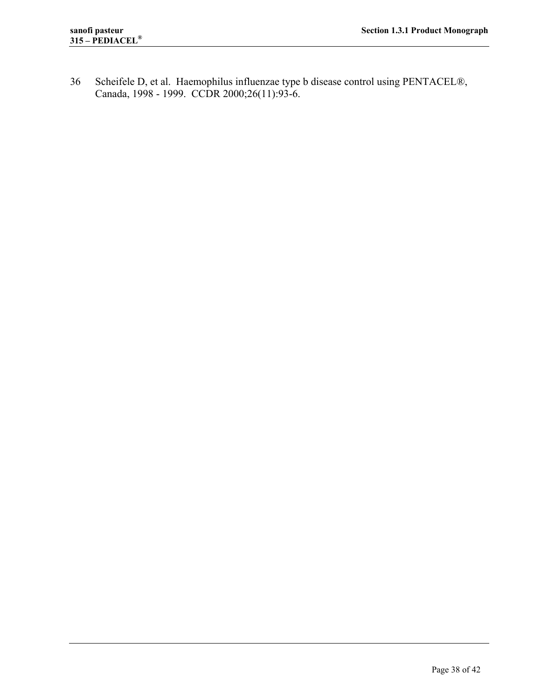36 Scheifele D, et al. Haemophilus influenzae type b disease control using PENTACEL®, Canada, 1998 - 1999. CCDR 2000;26(11):93-6.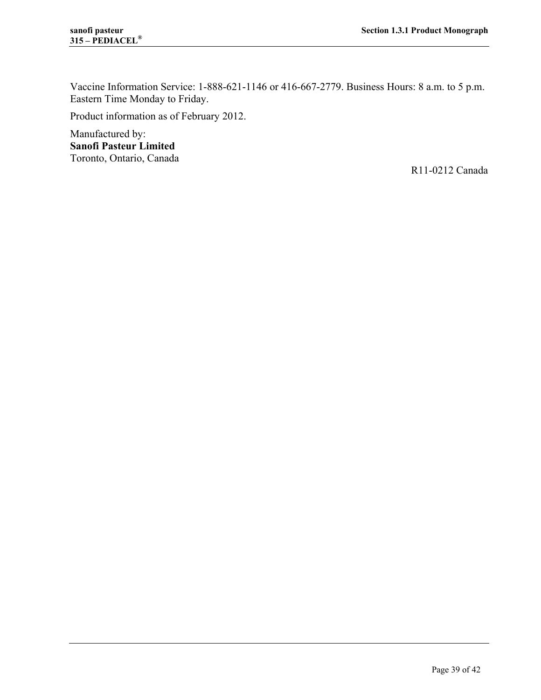Vaccine Information Service: 1-888-621-1146 or 416-667-2779. Business Hours: 8 a.m. to 5 p.m. Eastern Time Monday to Friday.

Product information as of February 2012.

Manufactured by: **Sanofi Pasteur Limited**  Toronto, Ontario, Canada

R11-0212 Canada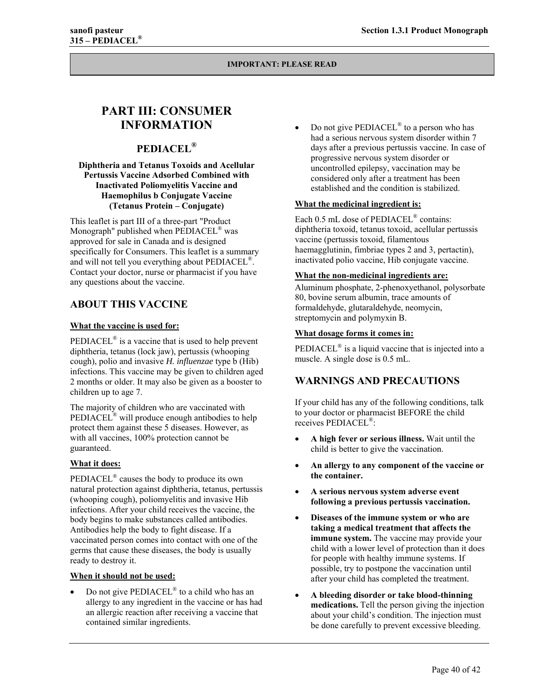# **PART III: CONSUMER INFORMATION**

## **PEDIACEL®**

#### **Diphtheria and Tetanus Toxoids and Acellular Pertussis Vaccine Adsorbed Combined with Inactivated Poliomyelitis Vaccine and Haemophilus b Conjugate Vaccine (Tetanus Protein – Conjugate)**

This leaflet is part III of a three-part "Product Monograph" published when PEDIACEL® was approved for sale in Canada and is designed specifically for Consumers. This leaflet is a summary and will not tell you everything about PEDIACEL®. Contact your doctor, nurse or pharmacist if you have any questions about the vaccine.

## **ABOUT THIS VACCINE**

#### **What the vaccine is used for:**

PEDIACEL<sup>®</sup> is a vaccine that is used to help prevent diphtheria, tetanus (lock jaw), pertussis (whooping cough), polio and invasive *H. influenzae* type b (Hib) infections. This vaccine may be given to children aged 2 months or older. It may also be given as a booster to children up to age 7.

The majority of children who are vaccinated with PEDIACEL® will produce enough antibodies to help protect them against these 5 diseases. However, as with all vaccines, 100% protection cannot be guaranteed.

#### **What it does:**

PEDIACEL® causes the body to produce its own natural protection against diphtheria, tetanus, pertussis (whooping cough), poliomyelitis and invasive Hib infections. After your child receives the vaccine, the body begins to make substances called antibodies. Antibodies help the body to fight disease. If a vaccinated person comes into contact with one of the germs that cause these diseases, the body is usually ready to destroy it.

#### **When it should not be used:**

 Do not give PEDIACEL® to a child who has an allergy to any ingredient in the vaccine or has had an allergic reaction after receiving a vaccine that contained similar ingredients.

 Do not give PEDIACEL® to a person who has had a serious nervous system disorder within 7 days after a previous pertussis vaccine. In case of progressive nervous system disorder or uncontrolled epilepsy, vaccination may be considered only after a treatment has been established and the condition is stabilized.

#### **What the medicinal ingredient is:**

Each 0.5 mL dose of PEDIACEL<sup>®</sup> contains: diphtheria toxoid, tetanus toxoid, acellular pertussis vaccine (pertussis toxoid, filamentous haemagglutinin, fimbriae types 2 and 3, pertactin), inactivated polio vaccine, Hib conjugate vaccine.

#### **What the non-medicinal ingredients are:**

Aluminum phosphate, 2-phenoxyethanol, polysorbate 80, bovine serum albumin, trace amounts of formaldehyde, glutaraldehyde, neomycin, streptomycin and polymyxin B.

#### **What dosage forms it comes in:**

PEDIACEL® is a liquid vaccine that is injected into a muscle. A single dose is 0.5 mL.

## **WARNINGS AND PRECAUTIONS**

If your child has any of the following conditions, talk to your doctor or pharmacist BEFORE the child receives PEDIACEL®:

- **A high fever or serious illness.** Wait until the child is better to give the vaccination.
- **An allergy to any component of the vaccine or the container.**
- **A serious nervous system adverse event following a previous pertussis vaccination.**
- **Diseases of the immune system or who are taking a medical treatment that affects the immune system.** The vaccine may provide your child with a lower level of protection than it does for people with healthy immune systems. If possible, try to postpone the vaccination until after your child has completed the treatment.
- **A bleeding disorder or take blood-thinning medications.** Tell the person giving the injection about your child's condition. The injection must be done carefully to prevent excessive bleeding.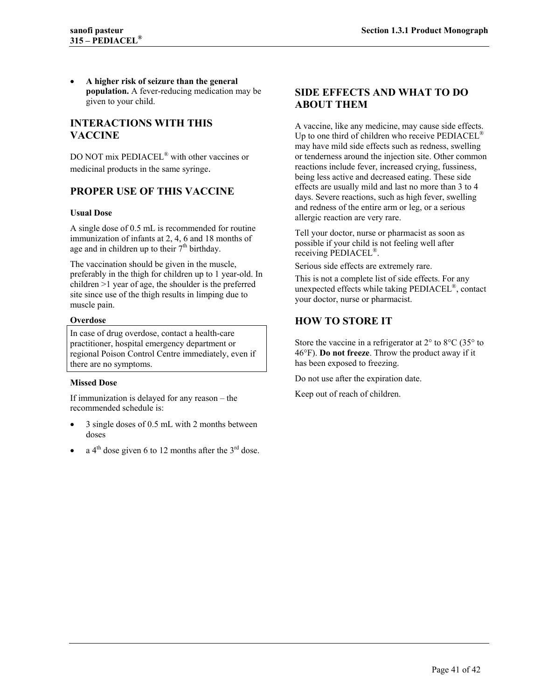**A higher risk of seizure than the general population.** A fever-reducing medication may be given to your child.

## **INTERACTIONS WITH THIS VACCINE**

DO NOT mix PEDIACEL® with other vaccines or medicinal products in the same syringe.

## **PROPER USE OF THIS VACCINE**

#### **Usual Dose**

A single dose of 0.5 mL is recommended for routine immunization of infants at 2, 4, 6 and 18 months of age and in children up to their  $7<sup>th</sup>$  birthday.

The vaccination should be given in the muscle, preferably in the thigh for children up to 1 year-old. In children >1 year of age, the shoulder is the preferred site since use of the thigh results in limping due to muscle pain.

#### **Overdose**

In case of drug overdose, contact a health-care practitioner, hospital emergency department or regional Poison Control Centre immediately, even if there are no symptoms.

#### **Missed Dose**

If immunization is delayed for any reason – the recommended schedule is:

- 3 single doses of 0.5 mL with 2 months between doses
- a  $4<sup>th</sup>$  dose given 6 to 12 months after the  $3<sup>rd</sup>$  dose.

## **SIDE EFFECTS AND WHAT TO DO ABOUT THEM**

A vaccine, like any medicine, may cause side effects. Up to one third of children who receive  $\text{PEDIACEL}^{\text{\textregistered}}$ may have mild side effects such as redness, swelling or tenderness around the injection site. Other common reactions include fever, increased crying, fussiness, being less active and decreased eating. These side effects are usually mild and last no more than 3 to 4 days. Severe reactions, such as high fever, swelling and redness of the entire arm or leg, or a serious allergic reaction are very rare.

Tell your doctor, nurse or pharmacist as soon as possible if your child is not feeling well after receiving PEDIACEL®.

Serious side effects are extremely rare.

This is not a complete list of side effects. For any unexpected effects while taking PEDIACEL®, contact your doctor, nurse or pharmacist.

## **HOW TO STORE IT**

Store the vaccine in a refrigerator at  $2^{\circ}$  to  $8^{\circ}$ C (35 $^{\circ}$  to 46°F). **Do not freeze**. Throw the product away if it has been exposed to freezing.

Do not use after the expiration date.

Keep out of reach of children.